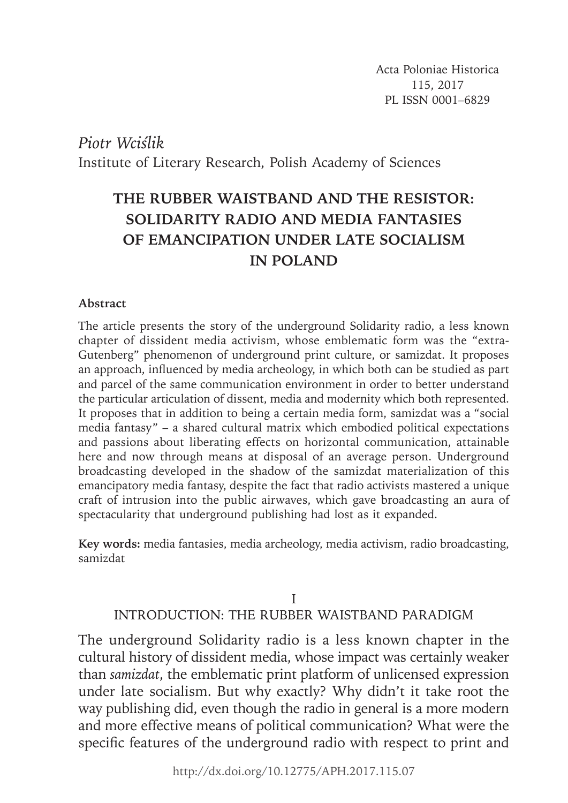Acta Poloniae Historica 115, 2017 PL ISSN 0001–6829

*Piotr Wciślik* Institute of Literary Research, Polish Academy of Sciences

# **THE RUBBER WAISTBAND AND THE RESISTOR: SOLIDARITY RADIO AND MEDIA FANTASIES OF EMANCIPATION UNDER LATE SOCIALISM IN POLAND**

### **Abstract**

The article presents the story of the underground Solidarity radio, a less known chapter of dissident media activism, whose emblematic form was the "extra-Gutenberg" phenomenon of underground print culture, or samizdat. It proposes an approach, influenced by media archeology, in which both can be studied as part and parcel of the same communication environment in order to better understand the particular articulation of dissent, media and modernity which both represented. It proposes that in addition to being a certain media form, samizdat was a "social media fantasy" – a shared cultural matrix which embodied political expectations and passions about liberating effects on horizontal communication, attainable here and now through means at disposal of an average person. Underground broadcasting developed in the shadow of the samizdat materialization of this emancipatory media fantasy, despite the fact that radio activists mastered a unique craft of intrusion into the public airwaves, which gave broadcasting an aura of spectacularity that underground publishing had lost as it expanded.

**Key words:** media fantasies, media archeology, media activism, radio broadcasting, samizdat

### I INTRODUCTION: THE RUBBER WAISTBAND PARADIGM

The underground Solidarity radio is a less known chapter in the cultural history of dissident media, whose impact was certainly weaker than *samizdat*, the emblematic print platform of unlicensed expression under late socialism. But why exactly? Why didn't it take root the way publishing did, even though the radio in general is a more modern and more effective means of political communication? What were the specific features of the underground radio with respect to print and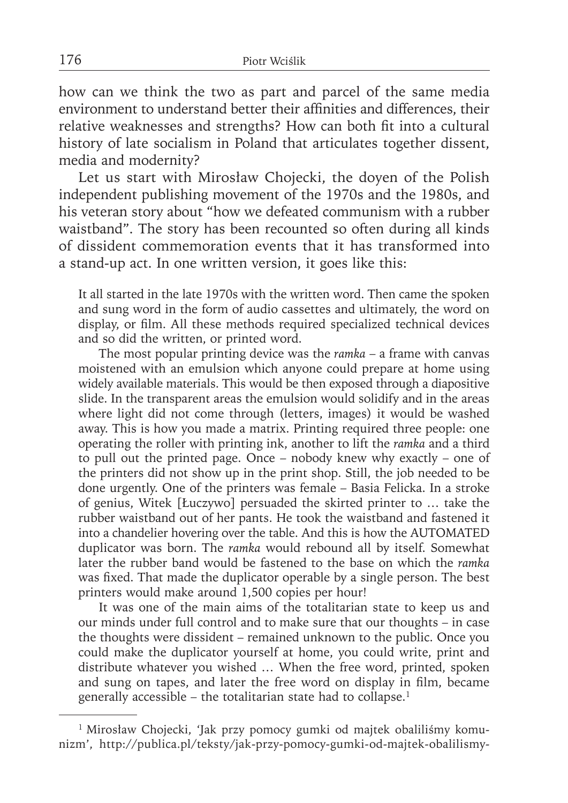how can we think the two as part and parcel of the same media environment to understand better their affinities and differences, their relative weaknesses and strengths? How can both fit into a cultural history of late socialism in Poland that articulates together dissent, media and modernity?

Let us start with Mirosław Chojecki, the doyen of the Polish independent publishing movement of the 1970s and the 1980s, and his veteran story about "how we defeated communism with a rubber waistband". The story has been recounted so often during all kinds of dissident commemoration events that it has transformed into a stand-up act. In one written version, it goes like this:

It all started in the late 1970s with the written word. Then came the spoken and sung word in the form of audio cassettes and ultimately, the word on display, or film. All these methods required specialized technical devices and so did the written, or printed word.

 The most popular printing device was the *ramka* – a frame with canvas moistened with an emulsion which anyone could prepare at home using widely available materials. This would be then exposed through a diapositive slide. In the transparent areas the emulsion would solidify and in the areas where light did not come through (letters, images) it would be washed away. This is how you made a matrix. Printing required three people: one operating the roller with printing ink, another to lift the *ramka* and a third to pull out the printed page. Once – nobody knew why exactly – one of the printers did not show up in the print shop. Still, the job needed to be done urgently. One of the printers was female – Basia Felicka. In a stroke of genius, Witek [Łuczywo] persuaded the skirted printer to … take the rubber waistband out of her pants. He took the waistband and fastened it into a chandelier hovering over the table. And this is how the AUTOMATED duplicator was born. The *ramka* would rebound all by itself. Somewhat later the rubber band would be fastened to the base on which the *ramka* was fixed. That made the duplicator operable by a single person. The best printers would make around 1,500 copies per hour!

 It was one of the main aims of the totalitarian state to keep us and our minds under full control and to make sure that our thoughts – in case the thoughts were dissident – remained unknown to the public. Once you could make the duplicator yourself at home, you could write, print and distribute whatever you wished … When the free word, printed, spoken and sung on tapes, and later the free word on display in film, became generally accessible – the totalitarian state had to collapse. $1$ 

<sup>&</sup>lt;sup>1</sup> Mirosław Chojecki, 'Jak przy pomocy gumki od majtek obaliliśmy komunizm', http://publica.pl/teksty/jak-przy-pomocy-gumki-od-majtek-obalilismy-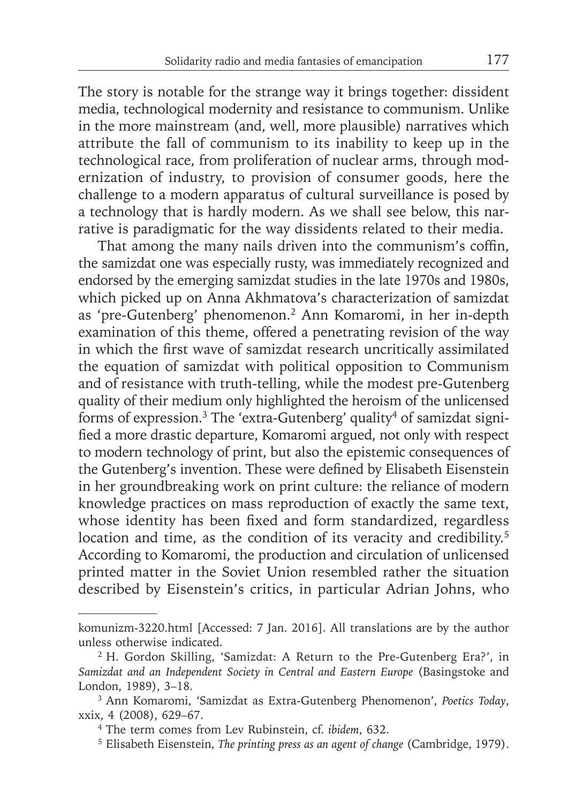The story is notable for the strange way it brings together: dissident media, technological modernity and resistance to communism. Unlike in the more mainstream (and, well, more plausible) narratives which attribute the fall of communism to its inability to keep up in the technological race, from proliferation of nuclear arms, through modernization of industry, to provision of consumer goods, here the challenge to a modern apparatus of cultural surveillance is posed by a technology that is hardly modern. As we shall see below, this narrative is paradigmatic for the way dissidents related to their media.

That among the many nails driven into the communism's coffin, the samizdat one was especially rusty, was immediately recognized and endorsed by the emerging samizdat studies in the late 1970s and 1980s, which picked up on Anna Akhmatova's characterization of samizdat as 'pre-Gutenberg' phenomenon.2 Ann Komaromi, in her in-depth examination of this theme, offered a penetrating revision of the way in which the first wave of samizdat research uncritically assimilated the equation of samizdat with political opposition to Communism and of resistance with truth-telling, while the modest pre-Gutenberg quality of their medium only highlighted the heroism of the unlicensed forms of expression.<sup>3</sup> The 'extra-Gutenberg' quality<sup>4</sup> of samizdat signified a more drastic departure, Komaromi argued, not only with respect to modern technology of print, but also the epistemic consequences of the Gutenberg's invention. These were defined by Elisabeth Eisenstein in her groundbreaking work on print culture: the reliance of modern knowledge practices on mass reproduction of exactly the same text, whose identity has been fixed and form standardized, regardless location and time, as the condition of its veracity and credibility.<sup>5</sup> According to Komaromi, the production and circulation of unlicensed printed matter in the Soviet Union resembled rather the situation described by Eisenstein's critics, in particular Adrian Johns, who

komunizm-3220.html [Accessed: 7 Jan. 2016]. All translations are by the author unless otherwise indicated.

<sup>2</sup> H. Gordon Skilling, 'Samizdat: A Return to the Pre-Gutenberg Era?', in *Samizdat and an Independent Society in Central and Eastern Europe* (Basingstoke and London, 1989), 3–18.

<sup>3</sup> Ann Komaromi, 'Samizdat as Extra-Gutenberg Phenomenon', *Poetics Today*, xxix, 4 (2008), 629–67.

<sup>4</sup> The term comes from Lev Rubinstein, cf. *ibidem*, 632.

<sup>5</sup> Elisabeth Eisenstein, *The printing press as an agent of change* (Cambridge, 1979).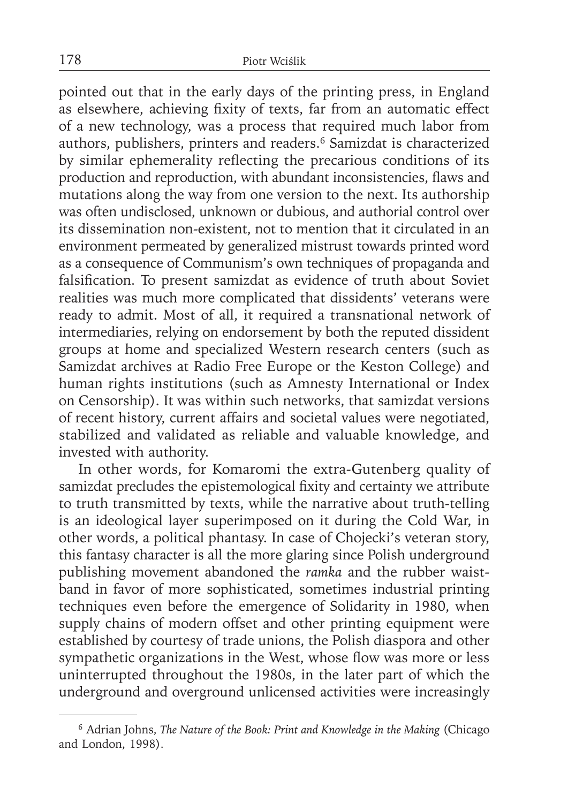pointed out that in the early days of the printing press, in England as elsewhere, achieving fixity of texts, far from an automatic effect of a new technology, was a process that required much labor from authors, publishers, printers and readers.6 Samizdat is characterized by similar ephemerality reflecting the precarious conditions of its production and reproduction, with abundant inconsistencies, flaws and mutations along the way from one version to the next. Its authorship was often undisclosed, unknown or dubious, and authorial control over its dissemination non-existent, not to mention that it circulated in an environment permeated by generalized mistrust towards printed word as a consequence of Communism's own techniques of propaganda and falsification. To present samizdat as evidence of truth about Soviet realities was much more complicated that dissidents' veterans were ready to admit. Most of all, it required a transnational network of intermediaries, relying on endorsement by both the reputed dissident groups at home and specialized Western research centers (such as Samizdat archives at Radio Free Europe or the Keston College) and human rights institutions (such as Amnesty International or Index on Censorship). It was within such networks, that samizdat versions of recent history, current affairs and societal values were negotiated, stabilized and validated as reliable and valuable knowledge, and invested with authority.

In other words, for Komaromi the extra-Gutenberg quality of samizdat precludes the epistemological fixity and certainty we attribute to truth transmitted by texts, while the narrative about truth-telling is an ideological layer superimposed on it during the Cold War, in other words, a political phantasy. In case of Chojecki's veteran story, this fantasy character is all the more glaring since Polish underground publishing movement abandoned the *ramka* and the rubber waistband in favor of more sophisticated, sometimes industrial printing techniques even before the emergence of Solidarity in 1980, when supply chains of modern offset and other printing equipment were established by courtesy of trade unions, the Polish diaspora and other sympathetic organizations in the West, whose flow was more or less uninterrupted throughout the 1980s, in the later part of which the underground and overground unlicensed activities were increasingly

<sup>6</sup> Adrian Johns, *The Nature of the Book: Print and Knowledge in the Making* (Chicago and London, 1998).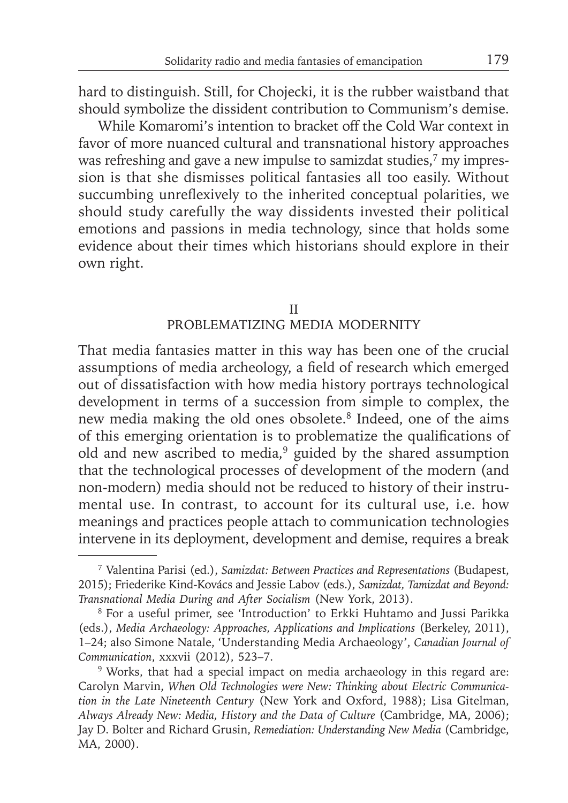hard to distinguish. Still, for Chojecki, it is the rubber waistband that should symbolize the dissident contribution to Communism's demise.

While Komaromi's intention to bracket off the Cold War context in favor of more nuanced cultural and transnational history approaches was refreshing and gave a new impulse to samizdat studies,<sup>7</sup> my impression is that she dismisses political fantasies all too easily. Without succumbing unreflexively to the inherited conceptual polarities, we should study carefully the way dissidents invested their political emotions and passions in media technology, since that holds some evidence about their times which historians should explore in their own right.

### II PROBLEMATIZING MEDIA MODERNITY

That media fantasies matter in this way has been one of the crucial assumptions of media archeology, a field of research which emerged out of dissatisfaction with how media history portrays technological development in terms of a succession from simple to complex, the new media making the old ones obsolete.8 Indeed, one of the aims of this emerging orientation is to problematize the qualifications of old and new ascribed to media,<sup>9</sup> guided by the shared assumption that the technological processes of development of the modern (and non-modern) media should not be reduced to history of their instrumental use. In contrast, to account for its cultural use, i.e. how meanings and practices people attach to communication technologies intervene in its deployment, development and demise, requires a break

<sup>7</sup> Valentina Parisi (ed.), *Samizdat: Between Practices and Representations* (Budapest, 2015); Friederike Kind-Kovács and Jessie Labov (eds.), *Samizdat, Tamizdat and Beyond: Transnational Media During and After Socialism* (New York, 2013).

<sup>8</sup> For a useful primer, see 'Introduction' to Erkki Huhtamo and Jussi Parikka (eds.), *Media Archaeology: Approaches, Applications and Implications* (Berkeley, 2011), 1–24; also Simone Natale, 'Understanding Media Archaeology', *Canadian Journal of Communication*, xxxvii (2012), 523–7.

<sup>&</sup>lt;sup>9</sup> Works, that had a special impact on media archaeology in this regard are: Carolyn Marvin, *When Old Technologies were New: Thinking about Electric Communication in the Late Nineteenth Century* (New York and Oxford, 1988); Lisa Gitelman, *Always Already New: Media, History and the Data of Culture* (Cambridge, MA, 2006); Jay D. Bolter and Richard Grusin, *Remediation: Understanding New Media* (Cambridge, MA, 2000).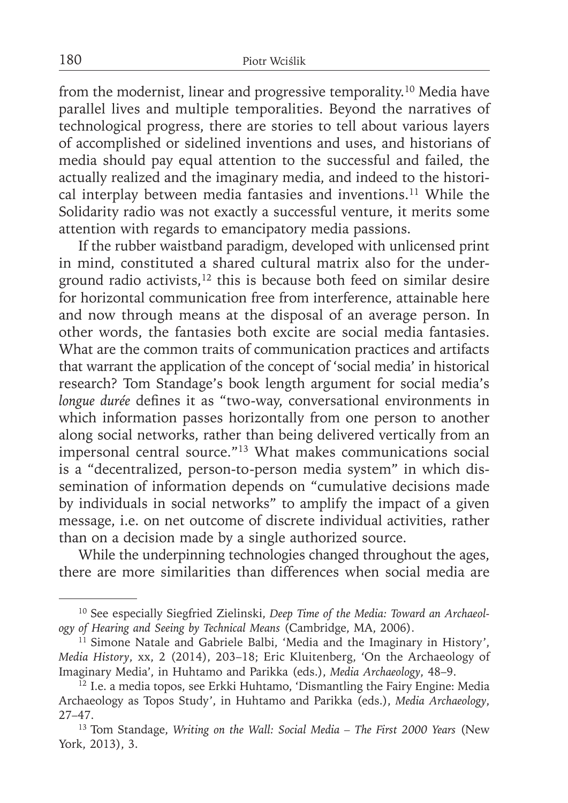from the modernist, linear and progressive temporality.<sup>10</sup> Media have parallel lives and multiple temporalities. Beyond the narratives of technological progress, there are stories to tell about various layers of accomplished or sidelined inventions and uses, and historians of media should pay equal attention to the successful and failed, the actually realized and the imaginary media, and indeed to the historical interplay between media fantasies and inventions.<sup>11</sup> While the Solidarity radio was not exactly a successful venture, it merits some attention with regards to emancipatory media passions.

If the rubber waistband paradigm, developed with unlicensed print in mind, constituted a shared cultural matrix also for the underground radio activists, $12$  this is because both feed on similar desire for horizontal communication free from interference, attainable here and now through means at the disposal of an average person. In other words, the fantasies both excite are social media fantasies. What are the common traits of communication practices and artifacts that warrant the application of the concept of 'social media' in historical research? Tom Standage's book length argument for social media's *longue durée* defines it as "two-way, conversational environments in which information passes horizontally from one person to another along social networks, rather than being delivered vertically from an impersonal central source."13 What makes communications social is a "decentralized, person-to-person media system" in which dissemination of information depends on "cumulative decisions made by individuals in social networks" to amplify the impact of a given message, i.e. on net outcome of discrete individual activities, rather than on a decision made by a single authorized source.

While the underpinning technologies changed throughout the ages, there are more similarities than differences when social media are

<sup>10</sup> See especially Siegfried Zielinski, *Deep Time of the Media: Toward an Archaeology of Hearing and Seeing by Technical Means* (Cambridge, MA, 2006).

<sup>&</sup>lt;sup>11</sup> Simone Natale and Gabriele Balbi, 'Media and the Imaginary in History', *Media History*, xx, 2 (2014), 203–18; Eric Kluitenberg, 'On the Archaeology of Imaginary Media', in Huhtamo and Parikka (eds.), *Media Archaeology*, 48–9.

<sup>12</sup> I.e. a media topos, see Erkki Huhtamo, 'Dismantling the Fairy Engine: Media Archaeology as Topos Study', in Huhtamo and Parikka (eds.), *Media Archaeology*, 27–47.

<sup>13</sup> Tom Standage, *Writing on the Wall: Social Media – The First 2000 Years* (New York, 2013), 3.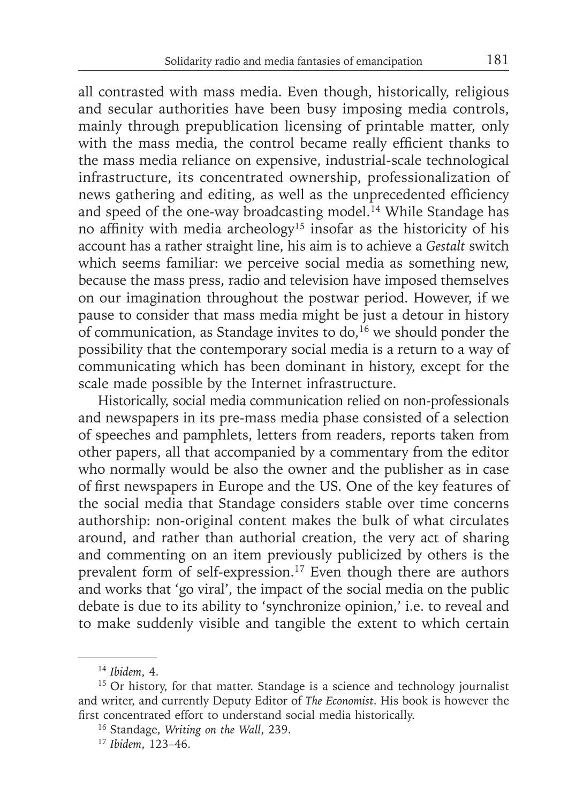all contrasted with mass media. Even though, historically, religious and secular authorities have been busy imposing media controls, mainly through prepublication licensing of printable matter, only with the mass media, the control became really efficient thanks to the mass media reliance on expensive, industrial-scale technological infrastructure, its concentrated ownership, professionalization of news gathering and editing, as well as the unprecedented efficiency and speed of the one-way broadcasting model.<sup>14</sup> While Standage has no affinity with media archeology<sup>15</sup> insofar as the historicity of his account has a rather straight line, his aim is to achieve a *Gestalt* switch which seems familiar: we perceive social media as something new, because the mass press, radio and television have imposed themselves on our imagination throughout the postwar period. However, if we pause to consider that mass media might be just a detour in history of communication, as Standage invites to do,<sup>16</sup> we should ponder the possibility that the contemporary social media is a return to a way of communicating which has been dominant in history, except for the scale made possible by the Internet infrastructure.

Historically, social media communication relied on non-professionals and newspapers in its pre-mass media phase consisted of a selection of speeches and pamphlets, letters from readers, reports taken from other papers, all that accompanied by a commentary from the editor who normally would be also the owner and the publisher as in case of first newspapers in Europe and the US. One of the key features of the social media that Standage considers stable over time concerns authorship: non-original content makes the bulk of what circulates around, and rather than authorial creation, the very act of sharing and commenting on an item previously publicized by others is the prevalent form of self-expression.<sup>17</sup> Even though there are authors and works that 'go viral', the impact of the social media on the public debate is due to its ability to 'synchronize opinion,' i.e. to reveal and to make suddenly visible and tangible the extent to which certain

<sup>14</sup>*Ibidem*, 4.

<sup>&</sup>lt;sup>15</sup> Or history, for that matter. Standage is a science and technology journalist and writer, and currently Deputy Editor of *The Economist*. His book is however the first concentrated effort to understand social media historically.

<sup>16</sup> Standage, *Writing on the Wall*, 239.

<sup>17</sup> *Ibidem*, 123–46.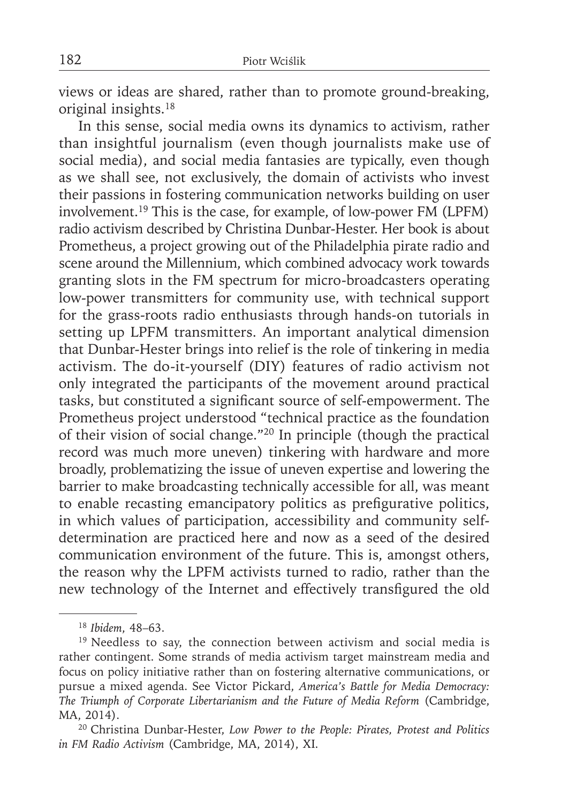views or ideas are shared, rather than to promote ground-breaking, original insights.18

In this sense, social media owns its dynamics to activism, rather than insightful journalism (even though journalists make use of social media), and social media fantasies are typically, even though as we shall see, not exclusively, the domain of activists who invest their passions in fostering communication networks building on user involvement.19 This is the case, for example, of low-power FM (LPFM) radio activism described by Christina Dunbar-Hester. Her book is about Prometheus, a project growing out of the Philadelphia pirate radio and scene around the Millennium, which combined advocacy work towards granting slots in the FM spectrum for micro-broadcasters operating low-power transmitters for community use, with technical support for the grass-roots radio enthusiasts through hands-on tutorials in setting up LPFM transmitters. An important analytical dimension that Dunbar-Hester brings into relief is the role of tinkering in media activism. The do-it-yourself (DIY) features of radio activism not only integrated the participants of the movement around practical tasks, but constituted a significant source of self-empowerment. The Prometheus project understood "technical practice as the foundation of their vision of social change."20 In principle (though the practical record was much more uneven) tinkering with hardware and more broadly, problematizing the issue of uneven expertise and lowering the barrier to make broadcasting technically accessible for all, was meant to enable recasting emancipatory politics as prefigurative politics, in which values of participation, accessibility and community selfdetermination are practiced here and now as a seed of the desired communication environment of the future. This is, amongst others, the reason why the LPFM activists turned to radio, rather than the new technology of the Internet and effectively transfigured the old

<sup>18</sup>*Ibidem*, 48–63.

<sup>&</sup>lt;sup>19</sup> Needless to say, the connection between activism and social media is rather contingent. Some strands of media activism target mainstream media and focus on policy initiative rather than on fostering alternative communications, or pursue a mixed agenda. See Victor Pickard, *America's Battle for Media Democracy: The Triumph of Corporate Libertarianism and the Future of Media Reform* (Cambridge, MA, 2014).

<sup>20</sup> Christina Dunbar-Hester, *Low Power to the People: Pirates, Protest and Politics in FM Radio Activism* (Cambridge, MA, 2014), XI.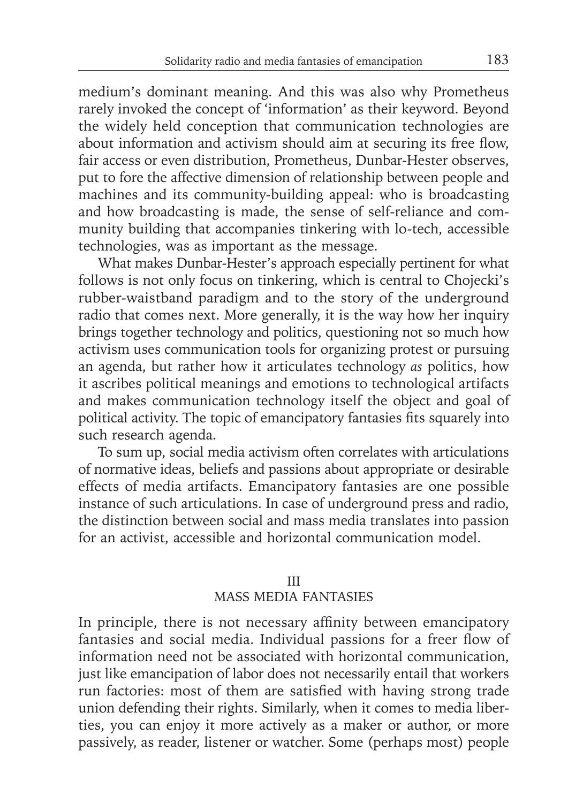medium's dominant meaning. And this was also why Prometheus rarely invoked the concept of 'information' as their keyword. Beyond the widely held conception that communication technologies are about information and activism should aim at securing its free flow, fair access or even distribution, Prometheus, Dunbar-Hester observes, put to fore the affective dimension of relationship between people and machines and its community-building appeal: who is broadcasting and how broadcasting is made, the sense of self-reliance and community building that accompanies tinkering with lo-tech, accessible technologies, was as important as the message.

What makes Dunbar-Hester's approach especially pertinent for what follows is not only focus on tinkering, which is central to Chojecki's rubber-waistband paradigm and to the story of the underground radio that comes next. More generally, it is the way how her inquiry brings together technology and politics, questioning not so much how activism uses communication tools for organizing protest or pursuing an agenda, but rather how it articulates technology *as* politics, how it ascribes political meanings and emotions to technological artifacts and makes communication technology itself the object and goal of political activity. The topic of emancipatory fantasies fits squarely into such research agenda.

To sum up, social media activism often correlates with articulations of normative ideas, beliefs and passions about appropriate or desirable effects of media artifacts. Emancipatory fantasies are one possible instance of such articulations. In case of underground press and radio, the distinction between social and mass media translates into passion for an activist, accessible and horizontal communication model.

### III

### MASS MEDIA FANTASIES

In principle, there is not necessary affinity between emancipatory fantasies and social media. Individual passions for a freer flow of information need not be associated with horizontal communication, just like emancipation of labor does not necessarily entail that workers run factories: most of them are satisfied with having strong trade union defending their rights. Similarly, when it comes to media liberties, you can enjoy it more actively as a maker or author, or more passively, as reader, listener or watcher. Some (perhaps most) people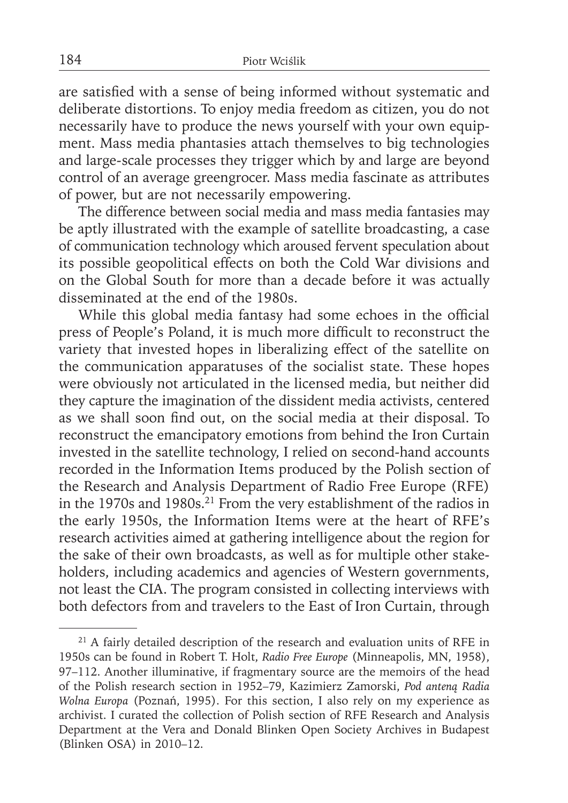are satisfied with a sense of being informed without systematic and deliberate distortions. To enjoy media freedom as citizen, you do not necessarily have to produce the news yourself with your own equipment. Mass media phantasies attach themselves to big technologies and large-scale processes they trigger which by and large are beyond control of an average greengrocer. Mass media fascinate as attributes of power, but are not necessarily empowering.

The difference between social media and mass media fantasies may be aptly illustrated with the example of satellite broadcasting, a case of communication technology which aroused fervent speculation about its possible geopolitical effects on both the Cold War divisions and on the Global South for more than a decade before it was actually disseminated at the end of the 1980s.

While this global media fantasy had some echoes in the official press of People's Poland, it is much more difficult to reconstruct the variety that invested hopes in liberalizing effect of the satellite on the communication apparatuses of the socialist state. These hopes were obviously not articulated in the licensed media, but neither did they capture the imagination of the dissident media activists, centered as we shall soon find out, on the social media at their disposal. To reconstruct the emancipatory emotions from behind the Iron Curtain invested in the satellite technology, I relied on second-hand accounts recorded in the Information Items produced by the Polish section of the Research and Analysis Department of Radio Free Europe (RFE) in the 1970s and 1980s.21 From the very establishment of the radios in the early 1950s, the Information Items were at the heart of RFE's research activities aimed at gathering intelligence about the region for the sake of their own broadcasts, as well as for multiple other stakeholders, including academics and agencies of Western governments, not least the CIA. The program consisted in collecting interviews with both defectors from and travelers to the East of Iron Curtain, through

<sup>&</sup>lt;sup>21</sup> A fairly detailed description of the research and evaluation units of RFE in 1950s can be found in Robert T. Holt, *Radio Free Europe* (Minneapolis, MN, 1958), 97–112. Another illuminative, if fragmentary source are the memoirs of the head of the Polish research section in 1952–79, Kazimierz Zamorski, *Pod anteną Radia Wolna Europa* (Poznań, 1995). For this section, I also rely on my experience as archivist. I curated the collection of Polish section of RFE Research and Analysis Department at the Vera and Donald Blinken Open Society Archives in Budapest (Blinken OSA) in 2010–12.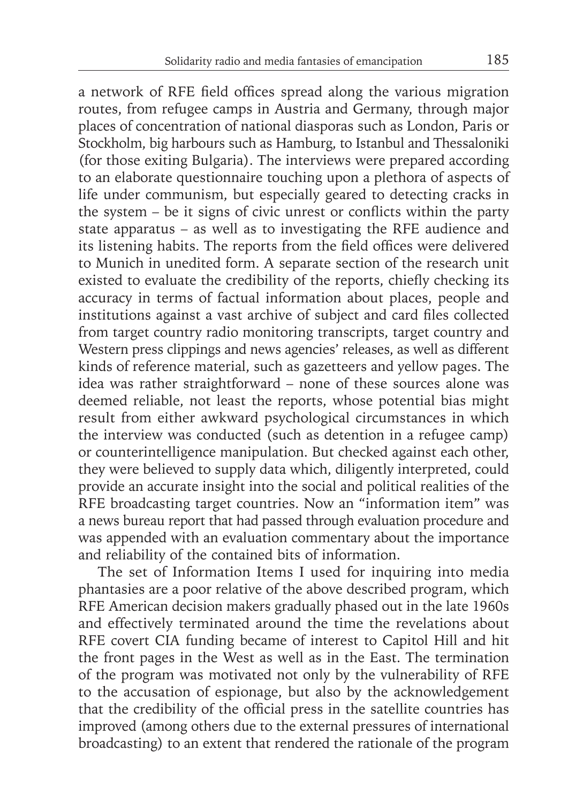a network of RFE field offices spread along the various migration routes, from refugee camps in Austria and Germany, through major places of concentration of national diasporas such as London, Paris or Stockholm, big harbours such as Hamburg, to Istanbul and Thessaloniki (for those exiting Bulgaria). The interviews were prepared according to an elaborate questionnaire touching upon a plethora of aspects of life under communism, but especially geared to detecting cracks in the system  $-$  be it signs of civic unrest or conflicts within the party state apparatus – as well as to investigating the RFE audience and its listening habits. The reports from the field offices were delivered to Munich in unedited form. A separate section of the research unit existed to evaluate the credibility of the reports, chiefly checking its accuracy in terms of factual information about places, people and institutions against a vast archive of subject and card files collected from target country radio monitoring transcripts, target country and Western press clippings and news agencies' releases, as well as different kinds of reference material, such as gazetteers and yellow pages. The idea was rather straightforward – none of these sources alone was deemed reliable, not least the reports, whose potential bias might result from either awkward psychological circumstances in which the interview was conducted (such as detention in a refugee camp) or counterintelligence manipulation. But checked against each other, they were believed to supply data which, diligently interpreted, could provide an accurate insight into the social and political realities of the RFE broadcasting target countries. Now an "information item" was a news bureau report that had passed through evaluation procedure and was appended with an evaluation commentary about the importance and reliability of the contained bits of information.

The set of Information Items I used for inquiring into media phantasies are a poor relative of the above described program, which RFE American decision makers gradually phased out in the late 1960s and effectively terminated around the time the revelations about RFE covert CIA funding became of interest to Capitol Hill and hit the front pages in the West as well as in the East. The termination of the program was motivated not only by the vulnerability of RFE to the accusation of espionage, but also by the acknowledgement that the credibility of the official press in the satellite countries has improved (among others due to the external pressures of international broadcasting) to an extent that rendered the rationale of the program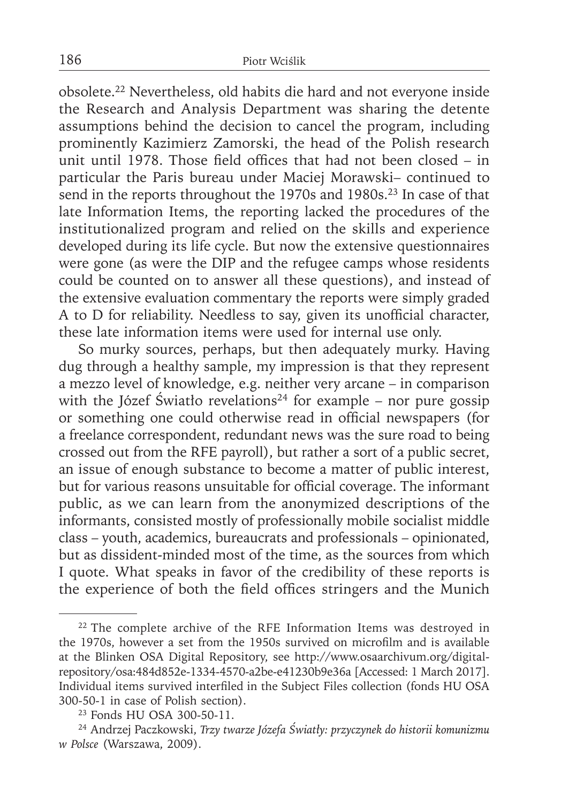obsolete.22 Nevertheless, old habits die hard and not everyone inside the Research and Analysis Department was sharing the detente assumptions behind the decision to cancel the program, including prominently Kazimierz Zamorski, the head of the Polish research unit until 1978. Those field offices that had not been closed  $-$  in particular the Paris bureau under Maciej Morawski– continued to send in the reports throughout the 1970s and 1980s.<sup>23</sup> In case of that late Information Items, the reporting lacked the procedures of the institutionalized program and relied on the skills and experience developed during its life cycle. But now the extensive questionnaires were gone (as were the DIP and the refugee camps whose residents could be counted on to answer all these questions), and instead of the extensive evaluation commentary the reports were simply graded A to D for reliability. Needless to say, given its unofficial character, these late information items were used for internal use only.

So murky sources, perhaps, but then adequately murky. Having dug through a healthy sample, my impression is that they represent a mezzo level of knowledge, e.g. neither very arcane – in comparison with the Józef Światło revelations<sup>24</sup> for example – nor pure gossip or something one could otherwise read in official newspapers (for a freelance correspondent, redundant news was the sure road to being crossed out from the RFE payroll), but rather a sort of a public secret, an issue of enough substance to become a matter of public interest, but for various reasons unsuitable for official coverage. The informant public, as we can learn from the anonymized descriptions of the informants, consisted mostly of professionally mobile socialist middle class – youth, academics, bureaucrats and professionals – opinionated, but as dissident-minded most of the time, as the sources from which I quote. What speaks in favor of the credibility of these reports is the experience of both the field offices stringers and the Munich

<sup>&</sup>lt;sup>22</sup> The complete archive of the RFE Information Items was destroyed in the 1970s, however a set from the 1950s survived on microfilm and is available at the Blinken OSA Digital Repository, see http://www.osaarchivum.org/digitalrepository/osa:484d852e-1334-4570-a2be-e41230b9e36a [Accessed: 1 March 2017]. Individual items survived interfiled in the Subject Files collection (fonds HU OSA 300-50-1 in case of Polish section).

<sup>23</sup> Fonds HU OSA 300-50-11.

<sup>24</sup> Andrzej Paczkowski, *Trzy twarze Józefa Światły: przyczynek do historii komunizmu w Polsce* (Warszawa, 2009).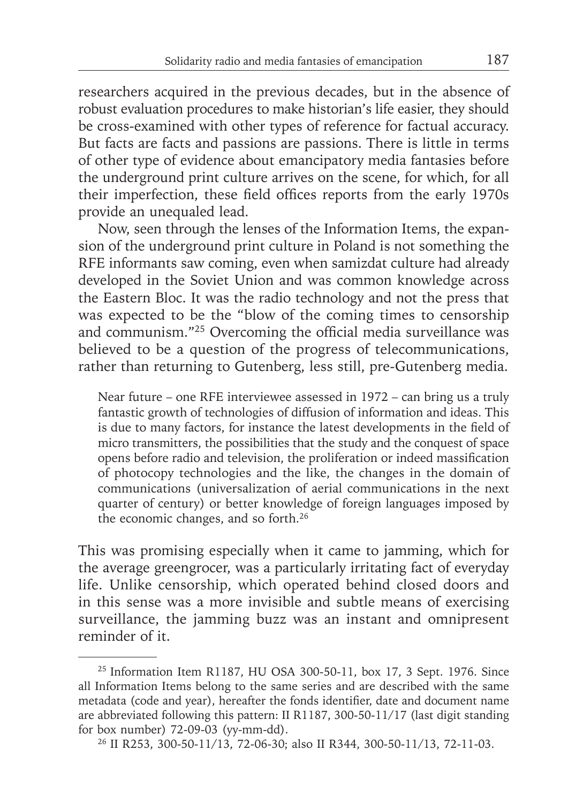researchers acquired in the previous decades, but in the absence of robust evaluation procedures to make historian's life easier, they should be cross-examined with other types of reference for factual accuracy. But facts are facts and passions are passions. There is little in terms of other type of evidence about emancipatory media fantasies before the underground print culture arrives on the scene, for which, for all their imperfection, these field offices reports from the early 1970s provide an unequaled lead.

Now, seen through the lenses of the Information Items, the expansion of the underground print culture in Poland is not something the RFE informants saw coming, even when samizdat culture had already developed in the Soviet Union and was common knowledge across the Eastern Bloc. It was the radio technology and not the press that was expected to be the "blow of the coming times to censorship and communism."<sup>25</sup> Overcoming the official media surveillance was believed to be a question of the progress of telecommunications, rather than returning to Gutenberg, less still, pre-Gutenberg media.

Near future – one RFE interviewee assessed in 1972 – can bring us a truly fantastic growth of technologies of diffusion of information and ideas. This is due to many factors, for instance the latest developments in the field of micro transmitters, the possibilities that the study and the conquest of space opens before radio and television, the proliferation or indeed massification of photocopy technologies and the like, the changes in the domain of communications (universalization of aerial communications in the next quarter of century) or better knowledge of foreign languages imposed by the economic changes, and so forth.26

This was promising especially when it came to jamming, which for the average greengrocer, was a particularly irritating fact of everyday life. Unlike censorship, which operated behind closed doors and in this sense was a more invisible and subtle means of exercising surveillance, the jamming buzz was an instant and omnipresent reminder of it.

<sup>25</sup> Information Item R1187, HU OSA 300-50-11, box 17, 3 Sept. 1976. Since all Information Items belong to the same series and are described with the same metadata (code and year), hereafter the fonds identifier, date and document name are abbreviated following this pattern: II R1187, 300-50-11/17 (last digit standing for box number) 72-09-03 (yy-mm-dd).

<sup>26</sup> II R253, 300-50-11/13, 72-06-30; also II R344, 300-50-11/13, 72-11-03.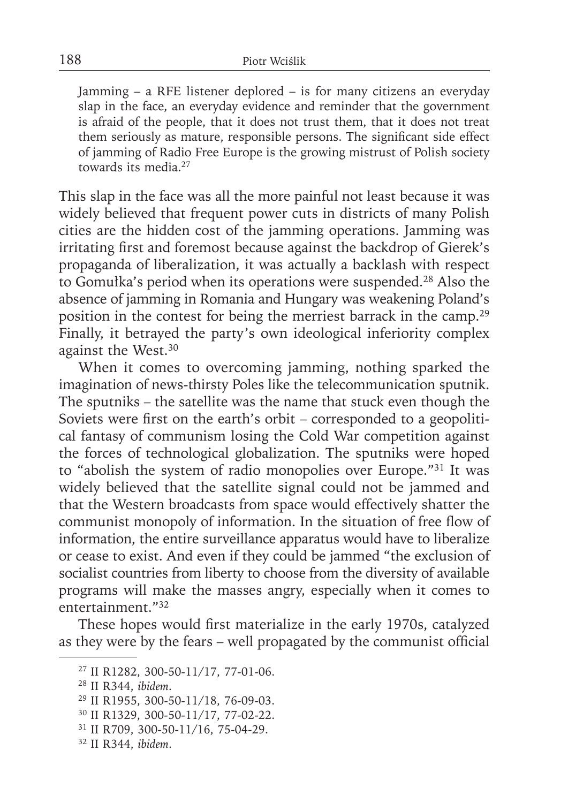Jamming – a RFE listener deplored – is for many citizens an everyday slap in the face, an everyday evidence and reminder that the government is afraid of the people, that it does not trust them, that it does not treat them seriously as mature, responsible persons. The significant side effect of jamming of Radio Free Europe is the growing mistrust of Polish society towards its media.27

This slap in the face was all the more painful not least because it was widely believed that frequent power cuts in districts of many Polish cities are the hidden cost of the jamming operations. Jamming was irritating first and foremost because against the backdrop of Gierek's propaganda of liberalization, it was actually a backlash with respect to Gomułka's period when its operations were suspended.28 Also the absence of jamming in Romania and Hungary was weakening Poland's position in the contest for being the merriest barrack in the camp.29 Finally, it betrayed the party's own ideological inferiority complex against the West.<sup>30</sup>

When it comes to overcoming jamming, nothing sparked the imagination of news-thirsty Poles like the telecommunication sputnik. The sputniks – the satellite was the name that stuck even though the Soviets were first on the earth's orbit – corresponded to a geopolitical fantasy of communism losing the Cold War competition against the forces of technological globalization. The sputniks were hoped to "abolish the system of radio monopolies over Europe."31 It was widely believed that the satellite signal could not be jammed and that the Western broadcasts from space would effectively shatter the communist monopoly of information. In the situation of free flow of information, the entire surveillance apparatus would have to liberalize or cease to exist. And even if they could be jammed "the exclusion of socialist countries from liberty to choose from the diversity of available programs will make the masses angry, especially when it comes to entertainment."32

These hopes would first materialize in the early 1970s, catalyzed as they were by the fears – well propagated by the communist official

<sup>27</sup> II R1282, 300-50-11/17, 77-01-06.

<sup>28</sup> II R344, *ibidem*.

<sup>29</sup> II R1955, 300-50-11/18, 76-09-03.

<sup>30</sup> II R1329, 300-50-11/17, 77-02-22.

<sup>31</sup> II R709, 300-50-11/16, 75-04-29.

<sup>32</sup> II R344, *ibidem*.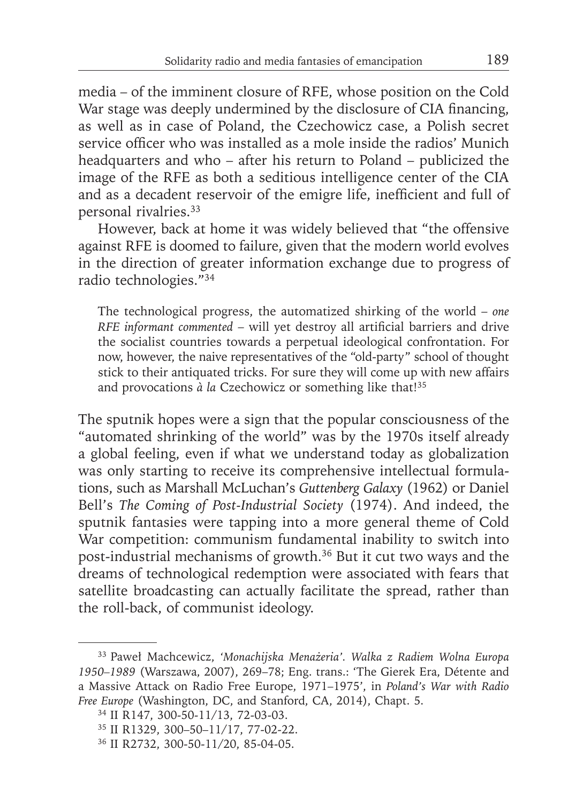media – of the imminent closure of RFE, whose position on the Cold War stage was deeply undermined by the disclosure of CIA financing, as well as in case of Poland, the Czechowicz case, a Polish secret service officer who was installed as a mole inside the radios' Munich headquarters and who – after his return to Poland – publicized the image of the RFE as both a seditious intelligence center of the CIA and as a decadent reservoir of the emigre life, inefficient and full of personal rivalries.33

However, back at home it was widely believed that "the offensive against RFE is doomed to failure, given that the modern world evolves in the direction of greater information exchange due to progress of radio technologies."34

The technological progress, the automatized shirking of the world – *one RFE informant commented* – will yet destroy all artificial barriers and drive the socialist countries towards a perpetual ideological confrontation. For now, however, the naive representatives of the "old-party" school of thought stick to their antiquated tricks. For sure they will come up with new affairs and provocations  $\dot{a}$  *la* Czechowicz or something like that!<sup>35</sup>

The sputnik hopes were a sign that the popular consciousness of the "automated shrinking of the world" was by the 1970s itself already a global feeling, even if what we understand today as globalization was only starting to receive its comprehensive intellectual formulations, such as Marshall McLuchan's *Guttenberg Galaxy* (1962) or Daniel Bell's *The Coming of Post-Industrial Society* (1974). And indeed, the sputnik fantasies were tapping into a more general theme of Cold War competition: communism fundamental inability to switch into post-industrial mechanisms of growth.36 But it cut two ways and the dreams of technological redemption were associated with fears that satellite broadcasting can actually facilitate the spread, rather than the roll-back, of communist ideology.

<sup>33</sup> Paweł Machcewicz, *'Monachijska Menażeria'. Walka z Radiem Wolna Europa 1950–1989* (Warszawa, 2007), 269–78; Eng. trans.: 'The Gierek Era, Détente and a Massive Attack on Radio Free Europe, 1971–1975', in *Poland's War with Radio Free Europe* (Washington, DC, and Stanford, CA, 2014), Chapt. 5.

<sup>34</sup> II R147, 300-50-11/13, 72-03-03.

<sup>35</sup> II R1329, 300–50–11/17, 77-02-22.

<sup>36</sup> II R2732, 300-50-11/20, 85-04-05.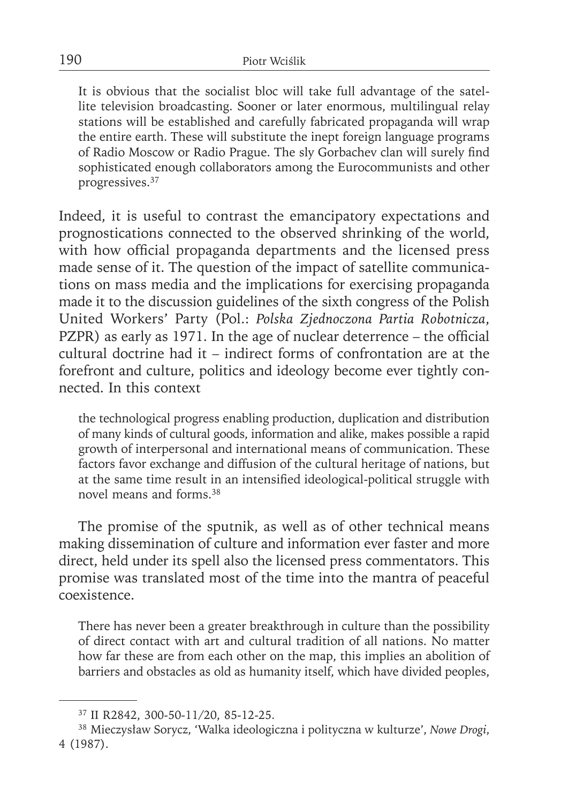It is obvious that the socialist bloc will take full advantage of the satellite television broadcasting. Sooner or later enormous, multilingual relay stations will be established and carefully fabricated propaganda will wrap the entire earth. These will substitute the inept foreign language programs of Radio Moscow or Radio Prague. The sly Gorbachev clan will surely find sophisticated enough collaborators among the Eurocommunists and other progressives.37

Indeed, it is useful to contrast the emancipatory expectations and prognostications connected to the observed shrinking of the world, with how official propaganda departments and the licensed press made sense of it. The question of the impact of satellite communications on mass media and the implications for exercising propaganda made it to the discussion guidelines of the sixth congress of the Polish United Workers' Party (Pol.: *Polska Zjednoczona Partia Robotnicza*, PZPR) as early as 1971. In the age of nuclear deterrence - the official cultural doctrine had it – indirect forms of confrontation are at the forefront and culture, politics and ideology become ever tightly connected. In this context

the technological progress enabling production, duplication and distribution of many kinds of cultural goods, information and alike, makes possible a rapid growth of interpersonal and international means of communication. These factors favor exchange and diffusion of the cultural heritage of nations, but at the same time result in an intensified ideological-political struggle with novel means and forms 38

The promise of the sputnik, as well as of other technical means making dissemination of culture and information ever faster and more direct, held under its spell also the licensed press commentators. This promise was translated most of the time into the mantra of peaceful coexistence.

There has never been a greater breakthrough in culture than the possibility of direct contact with art and cultural tradition of all nations. No matter how far these are from each other on the map, this implies an abolition of barriers and obstacles as old as humanity itself, which have divided peoples,

<sup>37</sup> II R2842, 300-50-11/20, 85-12-25.

<sup>38</sup> Mieczysław Sorycz, 'Walka ideologiczna i polityczna w kulturze', *Nowe Drogi*, 4 (1987).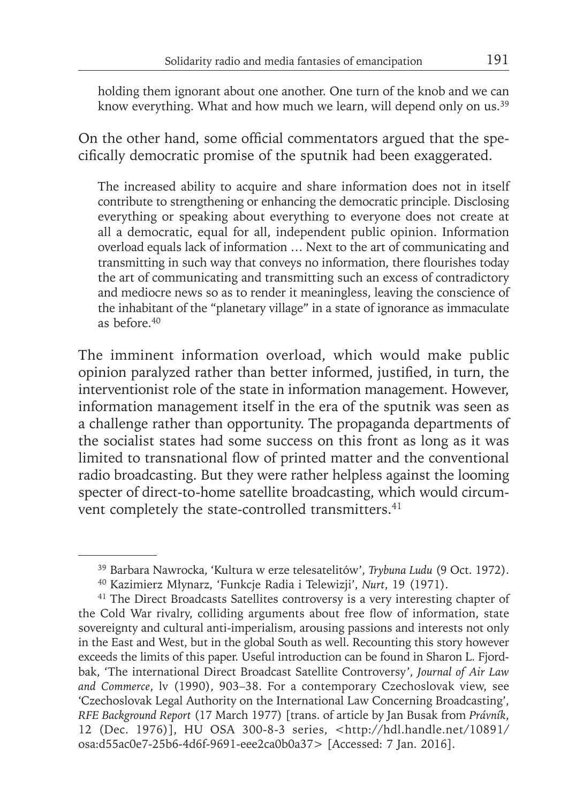holding them ignorant about one another. One turn of the knob and we can know everything. What and how much we learn, will depend only on us.<sup>39</sup>

On the other hand, some official commentators argued that the specifically democratic promise of the sputnik had been exaggerated.

The increased ability to acquire and share information does not in itself contribute to strengthening or enhancing the democratic principle. Disclosing everything or speaking about everything to everyone does not create at all a democratic, equal for all, independent public opinion. Information overload equals lack of information … Next to the art of communicating and transmitting in such way that conveys no information, there flourishes today the art of communicating and transmitting such an excess of contradictory and mediocre news so as to render it meaningless, leaving the conscience of the inhabitant of the "planetary village" in a state of ignorance as immaculate as before.40

The imminent information overload, which would make public opinion paralyzed rather than better informed, justified, in turn, the interventionist role of the state in information management. However, information management itself in the era of the sputnik was seen as a challenge rather than opportunity. The propaganda departments of the socialist states had some success on this front as long as it was limited to transnational flow of printed matter and the conventional radio broadcasting. But they were rather helpless against the looming specter of direct-to-home satellite broadcasting, which would circumvent completely the state-controlled transmitters.<sup>41</sup>

<sup>39</sup> Barbara Nawrocka, 'Kultura w erze telesatelitów', *Trybuna Ludu* (9 Oct. 1972).

<sup>40</sup> Kazimierz Młynarz, 'Funkcje Radia i Telewizji', *Nurt*, 19 (1971).

<sup>&</sup>lt;sup>41</sup> The Direct Broadcasts Satellites controversy is a very interesting chapter of the Cold War rivalry, colliding arguments about free flow of information, state sovereignty and cultural anti-imperialism, arousing passions and interests not only in the East and West, but in the global South as well. Recounting this story however exceeds the limits of this paper. Useful introduction can be found in Sharon L. Fjordbak, 'The international Direct Broadcast Satellite Controversy', *Journal of Air Law and Commerce*, lv (1990), 903–38. For a contemporary Czechoslovak view, see 'Czechoslovak Legal Authority on the International Law Concerning Broadcasting', *RFE Background Report* (17 March 1977) [trans. of article by Jan Busak from *Právník*, 12 (Dec. 1976)], HU OSA 300-8-3 series, <http://hdl.handle.net/10891/ osa:d55ac0e7-25b6-4d6f-9691-eee2ca0b0a37> [Accessed: 7 Jan. 2016].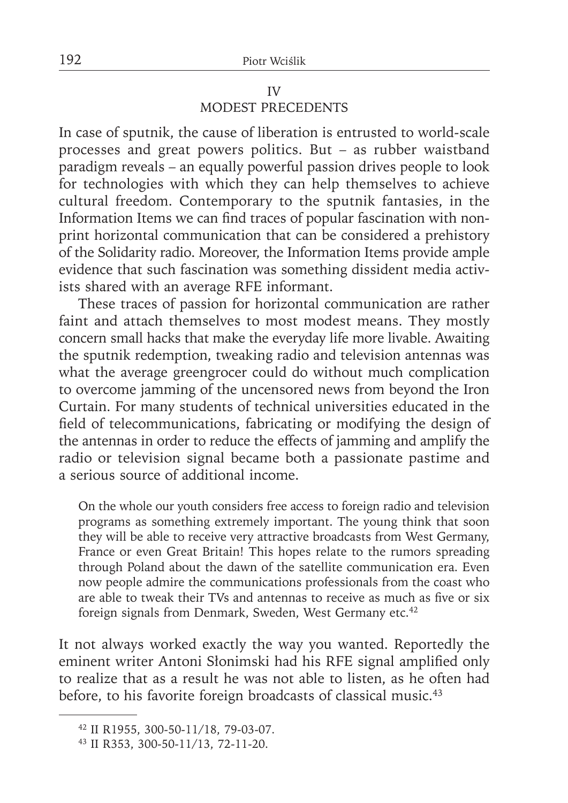### IV MODEST PRECEDENTS

In case of sputnik, the cause of liberation is entrusted to world-scale processes and great powers politics. But – as rubber waistband paradigm reveals – an equally powerful passion drives people to look for technologies with which they can help themselves to achieve cultural freedom. Contemporary to the sputnik fantasies, in the Information Items we can find traces of popular fascination with nonprint horizontal communication that can be considered a prehistory of the Solidarity radio. Moreover, the Information Items provide ample evidence that such fascination was something dissident media activists shared with an average RFE informant.

These traces of passion for horizontal communication are rather faint and attach themselves to most modest means. They mostly concern small hacks that make the everyday life more livable. Awaiting the sputnik redemption, tweaking radio and television antennas was what the average greengrocer could do without much complication to overcome jamming of the uncensored news from beyond the Iron Curtain. For many students of technical universities educated in the field of telecommunications, fabricating or modifying the design of the antennas in order to reduce the effects of jamming and amplify the radio or television signal became both a passionate pastime and a serious source of additional income.

On the whole our youth considers free access to foreign radio and television programs as something extremely important. The young think that soon they will be able to receive very attractive broadcasts from West Germany, France or even Great Britain! This hopes relate to the rumors spreading through Poland about the dawn of the satellite communication era. Even now people admire the communications professionals from the coast who are able to tweak their TVs and antennas to receive as much as five or six foreign signals from Denmark, Sweden, West Germany etc.<sup>42</sup>

It not always worked exactly the way you wanted. Reportedly the eminent writer Antoni Słonimski had his RFE signal amplified only to realize that as a result he was not able to listen, as he often had before, to his favorite foreign broadcasts of classical music.<sup>43</sup>

<sup>42</sup> II R1955, 300-50-11/18, 79-03-07.

<sup>43</sup> II R353, 300-50-11/13, 72-11-20.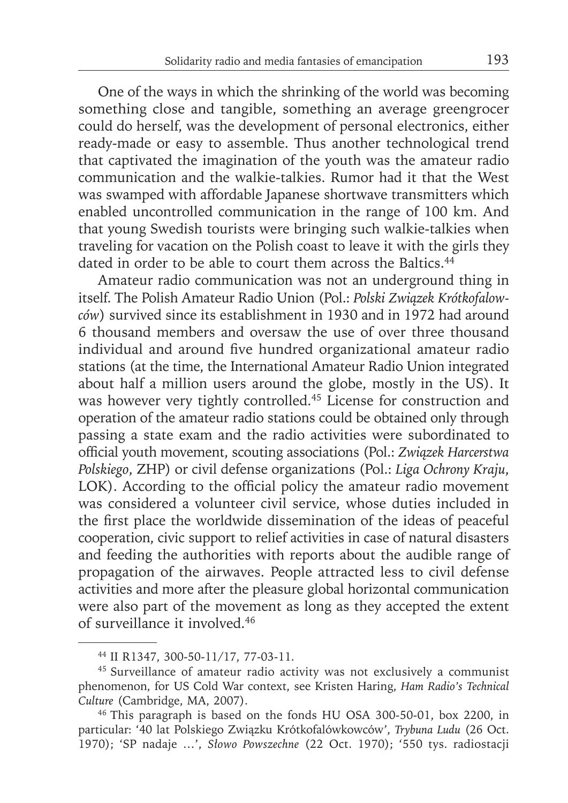One of the ways in which the shrinking of the world was becoming something close and tangible, something an average greengrocer could do herself, was the development of personal electronics, either ready-made or easy to assemble. Thus another technological trend that captivated the imagination of the youth was the amateur radio communication and the walkie-talkies. Rumor had it that the West was swamped with affordable Japanese shortwave transmitters which enabled uncontrolled communication in the range of 100 km. And that young Swedish tourists were bringing such walkie-talkies when traveling for vacation on the Polish coast to leave it with the girls they dated in order to be able to court them across the Baltics.<sup>44</sup>

Amateur radio communication was not an underground thing in itself. The Polish Amateur Radio Union (Pol.: *Polski Związek Krótkofalowców*) survived since its establishment in 1930 and in 1972 had around 6 thousand members and oversaw the use of over three thousand individual and around five hundred organizational amateur radio stations (at the time, the International Amateur Radio Union integrated about half a million users around the globe, mostly in the US). It was however very tightly controlled.<sup>45</sup> License for construction and operation of the amateur radio stations could be obtained only through passing a state exam and the radio activities were subordinated to official youth movement, scouting associations (Pol.: Związek Harcerstwa *Polskiego*, ZHP) or civil defense organizations (Pol.: *Liga Ochrony Kraju*, LOK). According to the official policy the amateur radio movement was considered a volunteer civil service, whose duties included in the first place the worldwide dissemination of the ideas of peaceful cooperation, civic support to relief activities in case of natural disasters and feeding the authorities with reports about the audible range of propagation of the airwaves. People attracted less to civil defense activities and more after the pleasure global horizontal communication were also part of the movement as long as they accepted the extent of surveillance it involved.46

<sup>44</sup> II R1347, 300-50-11/17, 77-03-11.

<sup>45</sup> Surveillance of amateur radio activity was not exclusively a communist phenomenon, for US Cold War context, see Kristen Haring, *Ham Radio's Technical Culture* (Cambridge, MA, 2007).

<sup>46</sup> This paragraph is based on the fonds HU OSA 300-50-01, box 2200, in particular: '40 lat Polskiego Związku Krótkofalówkowców', *Trybuna Ludu* (26 Oct. 1970); 'SP nadaje …', *Słowo Powszechne* (22 Oct. 1970); '550 tys. radiostacji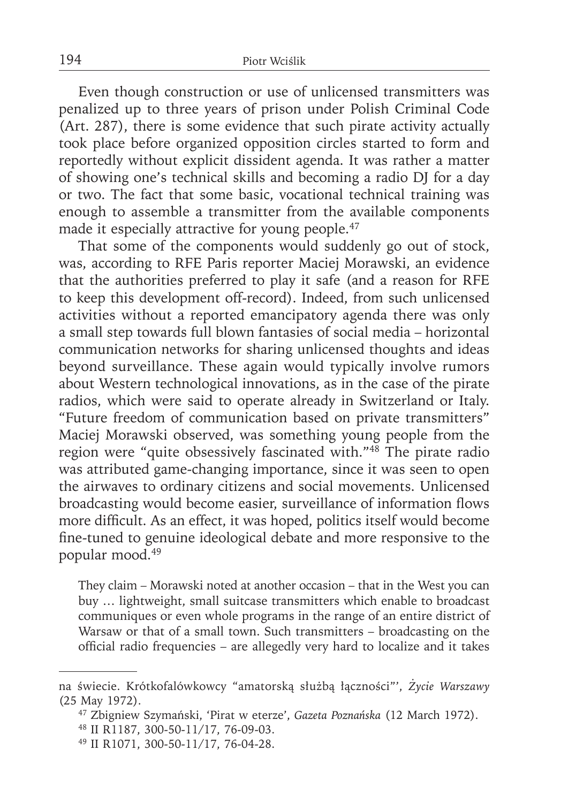Even though construction or use of unlicensed transmitters was penalized up to three years of prison under Polish Criminal Code (Art. 287), there is some evidence that such pirate activity actually took place before organized opposition circles started to form and reportedly without explicit dissident agenda. It was rather a matter of showing one's technical skills and becoming a radio DJ for a day or two. The fact that some basic, vocational technical training was enough to assemble a transmitter from the available components made it especially attractive for young people.<sup>47</sup>

That some of the components would suddenly go out of stock, was, according to RFE Paris reporter Maciej Morawski, an evidence that the authorities preferred to play it safe (and a reason for RFE to keep this development off-record). Indeed, from such unlicensed activities without a reported emancipatory agenda there was only a small step towards full blown fantasies of social media – horizontal communication networks for sharing unlicensed thoughts and ideas beyond surveillance. These again would typically involve rumors about Western technological innovations, as in the case of the pirate radios, which were said to operate already in Switzerland or Italy. "Future freedom of communication based on private transmitters" Maciej Morawski observed, was something young people from the region were "quite obsessively fascinated with."48 The pirate radio was attributed game-changing importance, since it was seen to open the airwaves to ordinary citizens and social movements. Unlicensed broadcasting would become easier, surveillance of information flows more difficult. As an effect, it was hoped, politics itself would become fine-tuned to genuine ideological debate and more responsive to the popular mood.49

They claim – Morawski noted at another occasion – that in the West you can buy … lightweight, small suitcase transmitters which enable to broadcast communiques or even whole programs in the range of an entire district of Warsaw or that of a small town. Such transmitters – broadcasting on the official radio frequencies - are allegedly very hard to localize and it takes

na świecie. Krótkofalówkowcy "amatorską służbą łączności"', *Życie Warszawy* (25 May 1972).

<sup>47</sup> Zbigniew Szymański, 'Pirat w eterze', *Gazeta Poznańska* (12 March 1972).

<sup>48</sup> II R1187, 300-50-11/17, 76-09-03.

<sup>49</sup> II R1071, 300-50-11/17, 76-04-28.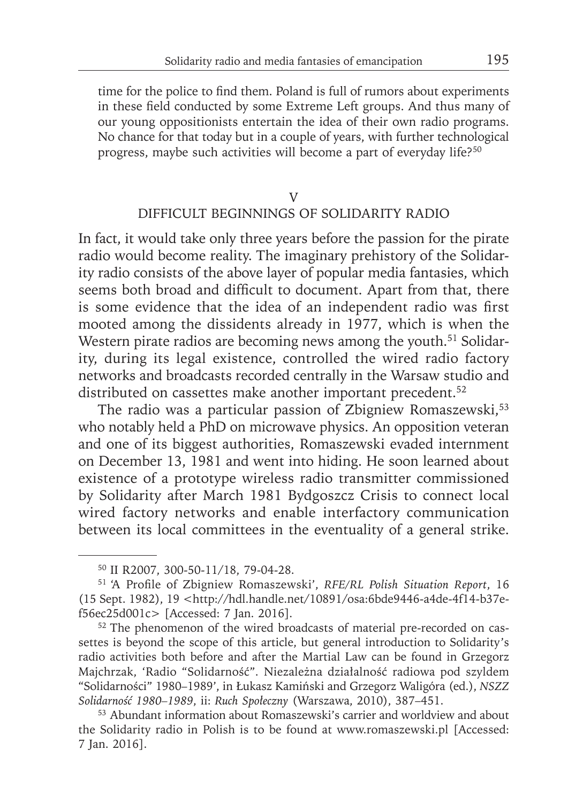time for the police to find them. Poland is full of rumors about experiments in these field conducted by some Extreme Left groups. And thus many of our young oppositionists entertain the idea of their own radio programs. No chance for that today but in a couple of years, with further technological progress, maybe such activities will become a part of everyday life?<sup>50</sup>

### V DIFFICULT BEGINNINGS OF SOLIDARITY RADIO

In fact, it would take only three years before the passion for the pirate radio would become reality. The imaginary prehistory of the Solidarity radio consists of the above layer of popular media fantasies, which seems both broad and difficult to document. Apart from that, there is some evidence that the idea of an independent radio was first mooted among the dissidents already in 1977, which is when the Western pirate radios are becoming news among the youth.<sup>51</sup> Solidarity, during its legal existence, controlled the wired radio factory networks and broadcasts recorded centrally in the Warsaw studio and distributed on cassettes make another important precedent.<sup>52</sup>

The radio was a particular passion of Zbigniew Romaszewski,<sup>53</sup> who notably held a PhD on microwave physics. An opposition veteran and one of its biggest authorities, Romaszewski evaded internment on December 13, 1981 and went into hiding. He soon learned about existence of a prototype wireless radio transmitter commissioned by Solidarity after March 1981 Bydgoszcz Crisis to connect local wired factory networks and enable interfactory communication between its local committees in the eventuality of a general strike.

<sup>50</sup> II R2007, 300-50-11/18, 79-04-28.

<sup>&</sup>lt;sup>51</sup> 'A Profile of Zbigniew Romaszewski', *RFE/RL Polish Situation Report*, 16 (15 Sept. 1982), 19 <http://hdl.handle.net/10891/osa:6bde9446-a4de-4f14-b37ef56ec25d001c> [Accessed: 7 Jan. 2016].

<sup>52</sup> The phenomenon of the wired broadcasts of material pre-recorded on cassettes is beyond the scope of this article, but general introduction to Solidarity's radio activities both before and after the Martial Law can be found in Grzegorz Majchrzak, 'Radio "Solidarność". Niezależna działalność radiowa pod szyldem "Solidarności" 1980–1989', in Łukasz Kamiński and Grzegorz Waligóra (ed.), *NSZZ Solidarność 1980–1989*, ii: *Ruch Społeczny* (Warszawa, 2010), 387–451.

<sup>53</sup> Abundant information about Romaszewski's carrier and worldview and about the Solidarity radio in Polish is to be found at www.romaszewski.pl [Accessed: 7 Jan. 2016].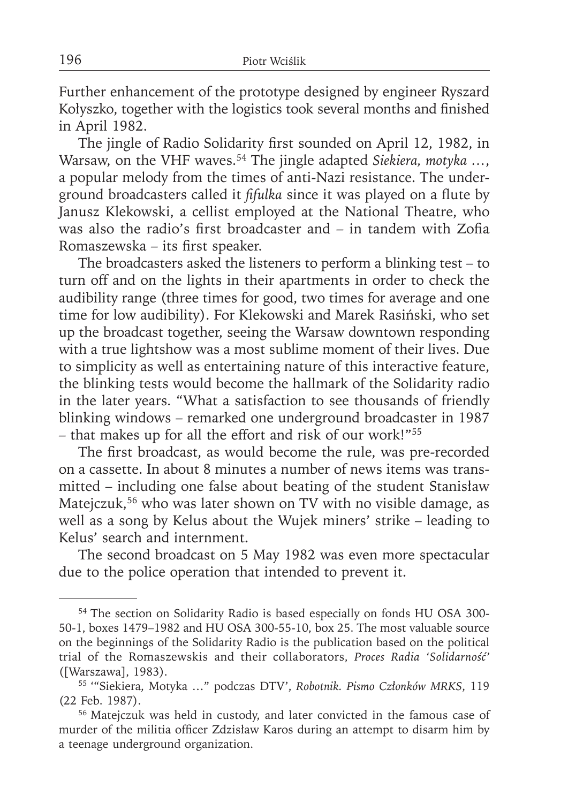Further enhancement of the prototype designed by engineer Ryszard Kołyszko, together with the logistics took several months and finished in April 1982.

The jingle of Radio Solidarity first sounded on April 12, 1982, in Warsaw, on the VHF waves.54 The jingle adapted *Siekiera, motyka …*, a popular melody from the times of anti-Nazi resistance. The underground broadcasters called it *fifulka* since it was played on a flute by Janusz Klekowski, a cellist employed at the National Theatre, who was also the radio's first broadcaster and  $-$  in tandem with Zofia Romaszewska – its first speaker.

The broadcasters asked the listeners to perform a blinking test – to turn off and on the lights in their apartments in order to check the audibility range (three times for good, two times for average and one time for low audibility). For Klekowski and Marek Rasiński, who set up the broadcast together, seeing the Warsaw downtown responding with a true lightshow was a most sublime moment of their lives. Due to simplicity as well as entertaining nature of this interactive feature, the blinking tests would become the hallmark of the Solidarity radio in the later years. "What a satisfaction to see thousands of friendly blinking windows – remarked one underground broadcaster in 1987 – that makes up for all the effort and risk of our work!"55

The first broadcast, as would become the rule, was pre-recorded on a cassette. In about 8 minutes a number of news items was transmitted – including one false about beating of the student Stanisław Matejczuk,<sup>56</sup> who was later shown on TV with no visible damage, as well as a song by Kelus about the Wujek miners' strike – leading to Kelus' search and internment.

The second broadcast on 5 May 1982 was even more spectacular due to the police operation that intended to prevent it.

<sup>54</sup> The section on Solidarity Radio is based especially on fonds HU OSA 300- 50-1, boxes 1479–1982 and HU OSA 300-55-10, box 25. The most valuable source on the beginnings of the Solidarity Radio is the publication based on the political trial of the Romaszewskis and their collaborators, *Proces Radia 'Solidarność'* ([Warszawa], 1983).

<sup>55 &#</sup>x27;"Siekiera, Motyka …" podczas DTV', *Robotnik. Pismo Członków MRKS*, 119 (22 Feb. 1987).

<sup>56</sup> Matejczuk was held in custody, and later convicted in the famous case of murder of the militia officer Zdzisław Karos during an attempt to disarm him by a teenage underground organization.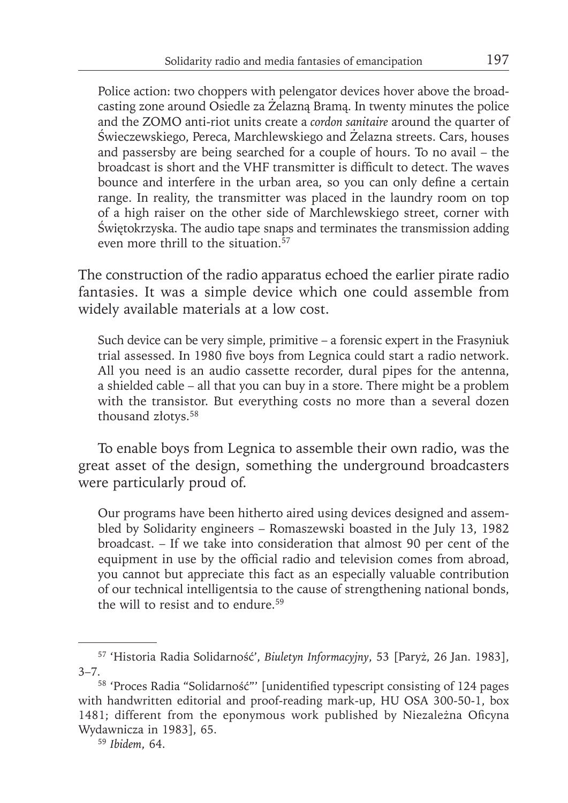Police action: two choppers with pelengator devices hover above the broadcasting zone around Osiedle za Żelazną Bramą. In twenty minutes the police and the ZOMO anti-riot units create a *cordon sanitaire* around the quarter of Świeczewskiego, Pereca, Marchlewskiego and Żelazna streets. Cars, houses and passersby are being searched for a couple of hours. To no avail – the broadcast is short and the VHF transmitter is difficult to detect. The waves bounce and interfere in the urban area, so you can only define a certain range. In reality, the transmitter was placed in the laundry room on top of a high raiser on the other side of Marchlewskiego street, corner with Świętokrzyska. The audio tape snaps and terminates the transmission adding even more thrill to the situation <sup>57</sup>

The construction of the radio apparatus echoed the earlier pirate radio fantasies. It was a simple device which one could assemble from widely available materials at a low cost.

Such device can be very simple, primitive – a forensic expert in the Frasyniuk trial assessed. In 1980 five boys from Legnica could start a radio network. All you need is an audio cassette recorder, dural pipes for the antenna, a shielded cable – all that you can buy in a store. There might be a problem with the transistor. But everything costs no more than a several dozen thousand złotys.58

To enable boys from Legnica to assemble their own radio, was the great asset of the design, something the underground broadcasters were particularly proud of.

Our programs have been hitherto aired using devices designed and assembled by Solidarity engineers – Romaszewski boasted in the July 13, 1982 broadcast. – If we take into consideration that almost 90 per cent of the equipment in use by the official radio and television comes from abroad, you cannot but appreciate this fact as an especially valuable contribution of our technical intelligentsia to the cause of strengthening national bonds, the will to resist and to endure.<sup>59</sup>

<sup>57 &#</sup>x27;Historia Radia Solidarność', *Biuletyn Informacyjny*, 53 [Paryż, 26 Jan. 1983],  $3-7$ .<br><sup>58</sup> 'Proces Radia "Solidarność"' [unidentified typescript consisting of 124 pages

with handwritten editorial and proof-reading mark-up, HU OSA 300-50-1, box 1481; different from the eponymous work published by Niezależna Oficyna Wydawnicza in 1983], 65.

<sup>59</sup> *Ibidem*, 64.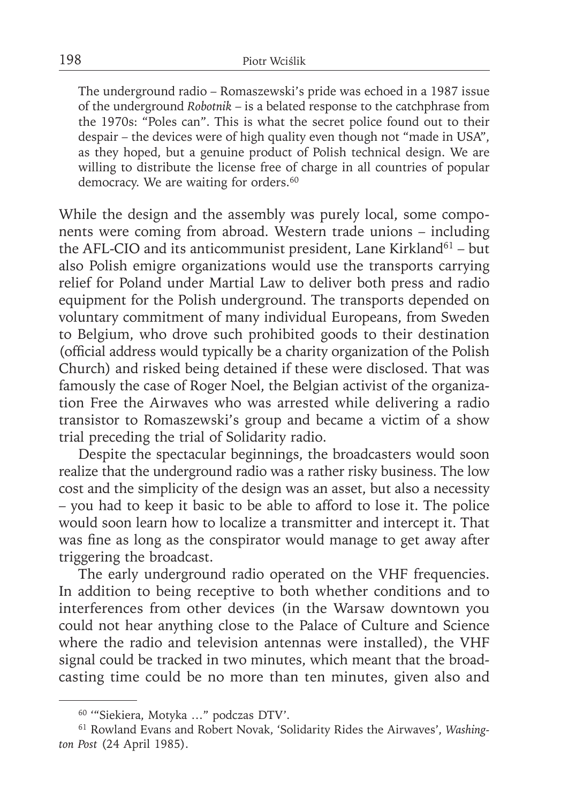The underground radio – Romaszewski's pride was echoed in a 1987 issue of the underground *Robotnik* – is a belated response to the catchphrase from the 1970s: "Poles can". This is what the secret police found out to their despair – the devices were of high quality even though not "made in USA", as they hoped, but a genuine product of Polish technical design. We are willing to distribute the license free of charge in all countries of popular democracy. We are waiting for orders.<sup>60</sup>

While the design and the assembly was purely local, some components were coming from abroad. Western trade unions – including the AFL-CIO and its anticommunist president, Lane Kirkland $61 -$  but also Polish emigre organizations would use the transports carrying relief for Poland under Martial Law to deliver both press and radio equipment for the Polish underground. The transports depended on voluntary commitment of many individual Europeans, from Sweden to Belgium, who drove such prohibited goods to their destination (official address would typically be a charity organization of the Polish Church) and risked being detained if these were disclosed. That was famously the case of Roger Noel, the Belgian activist of the organization Free the Airwaves who was arrested while delivering a radio transistor to Romaszewski's group and became a victim of a show trial preceding the trial of Solidarity radio.

Despite the spectacular beginnings, the broadcasters would soon realize that the underground radio was a rather risky business. The low cost and the simplicity of the design was an asset, but also a necessity – you had to keep it basic to be able to afford to lose it. The police would soon learn how to localize a transmitter and intercept it. That was fine as long as the conspirator would manage to get away after triggering the broadcast.

The early underground radio operated on the VHF frequencies. In addition to being receptive to both whether conditions and to interferences from other devices (in the Warsaw downtown you could not hear anything close to the Palace of Culture and Science where the radio and television antennas were installed), the VHF signal could be tracked in two minutes, which meant that the broadcasting time could be no more than ten minutes, given also and

<sup>60 &#</sup>x27;"Siekiera, Motyka …" podczas DTV'.

<sup>61</sup> Rowland Evans and Robert Novak, 'Solidarity Rides the Airwaves', *Washington Post* (24 April 1985).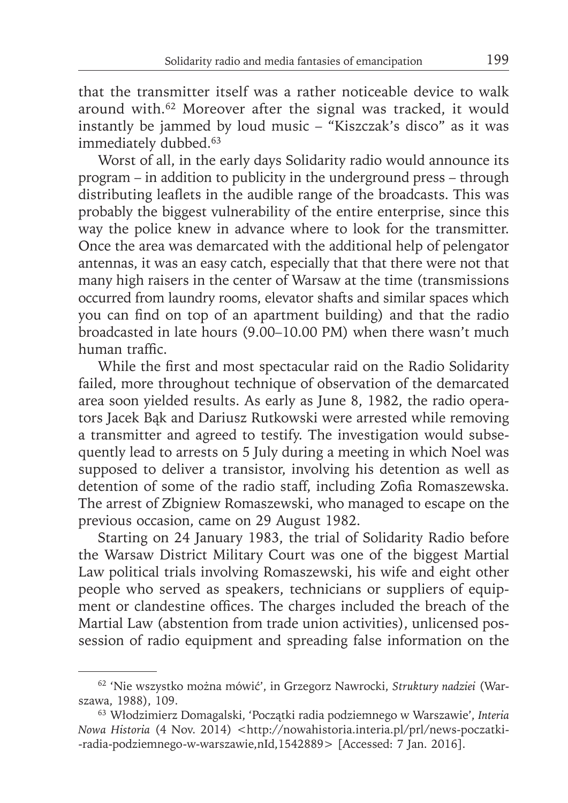that the transmitter itself was a rather noticeable device to walk around with.62 Moreover after the signal was tracked, it would instantly be jammed by loud music – "Kiszczak's disco" as it was immediately dubbed.<sup>63</sup>

Worst of all, in the early days Solidarity radio would announce its program – in addition to publicity in the underground press – through distributing leaflets in the audible range of the broadcasts. This was probably the biggest vulnerability of the entire enterprise, since this way the police knew in advance where to look for the transmitter. Once the area was demarcated with the additional help of pelengator antennas, it was an easy catch, especially that that there were not that many high raisers in the center of Warsaw at the time (transmissions occurred from laundry rooms, elevator shafts and similar spaces which you can find on top of an apartment building) and that the radio broadcasted in late hours (9.00–10.00 PM) when there wasn't much human traffic.

While the first and most spectacular raid on the Radio Solidarity failed, more throughout technique of observation of the demarcated area soon yielded results. As early as June 8, 1982, the radio operators Jacek Bąk and Dariusz Rutkowski were arrested while removing a transmitter and agreed to testify. The investigation would subsequently lead to arrests on 5 July during a meeting in which Noel was supposed to deliver a transistor, involving his detention as well as detention of some of the radio staff, including Zofia Romaszewska. The arrest of Zbigniew Romaszewski, who managed to escape on the previous occasion, came on 29 August 1982.

Starting on 24 January 1983, the trial of Solidarity Radio before the Warsaw District Military Court was one of the biggest Martial Law political trials involving Romaszewski, his wife and eight other people who served as speakers, technicians or suppliers of equipment or clandestine offices. The charges included the breach of the Martial Law (abstention from trade union activities), unlicensed possession of radio equipment and spreading false information on the

<sup>62 &#</sup>x27;Nie wszystko można mówić', in Grzegorz Nawrocki, *Struktury nadziei* (Warszawa, 1988), 109.

<sup>63</sup> Włodzimierz Domagalski, 'Początki radia podziemnego w Warszawie', *Interia Nowa Historia* (4 Nov. 2014) <http://nowahistoria.interia.pl/prl/news-poczatki--radia-podziemnego-w-warszawie,nId,1542889> [Accessed: 7 Jan. 2016].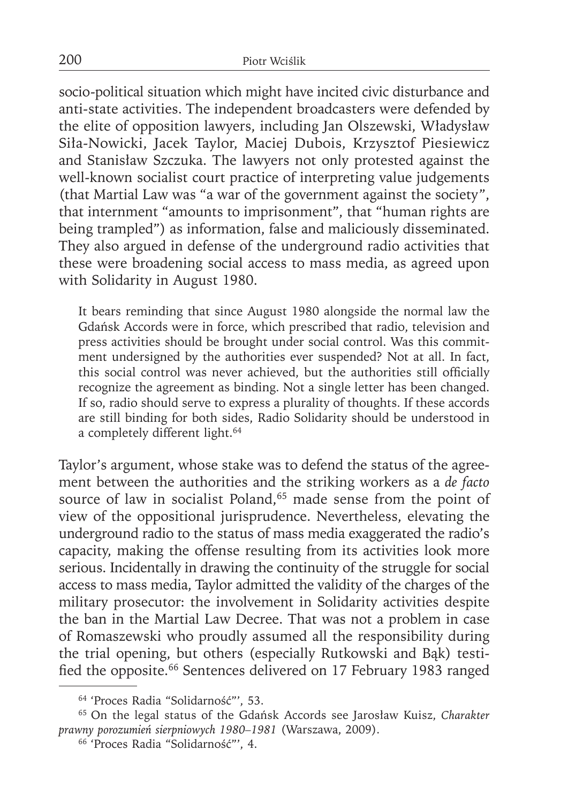socio-political situation which might have incited civic disturbance and anti-state activities. The independent broadcasters were defended by the elite of opposition lawyers, including Jan Olszewski, Władysław Siła-Nowicki, Jacek Taylor, Maciej Dubois, Krzysztof Piesiewicz and Stanisław Szczuka. The lawyers not only protested against the well-known socialist court practice of interpreting value judgements (that Martial Law was "a war of the government against the society", that internment "amounts to imprisonment", that "human rights are being trampled") as information, false and maliciously disseminated. They also argued in defense of the underground radio activities that these were broadening social access to mass media, as agreed upon with Solidarity in August 1980.

It bears reminding that since August 1980 alongside the normal law the Gdańsk Accords were in force, which prescribed that radio, television and press activities should be brought under social control. Was this commitment undersigned by the authorities ever suspended? Not at all. In fact, this social control was never achieved, but the authorities still officially recognize the agreement as binding. Not a single letter has been changed. If so, radio should serve to express a plurality of thoughts. If these accords are still binding for both sides, Radio Solidarity should be understood in a completely different light.<sup>64</sup>

Taylor's argument, whose stake was to defend the status of the agreement between the authorities and the striking workers as a *de facto* source of law in socialist Poland,<sup>65</sup> made sense from the point of view of the oppositional jurisprudence. Nevertheless, elevating the underground radio to the status of mass media exaggerated the radio's capacity, making the offense resulting from its activities look more serious. Incidentally in drawing the continuity of the struggle for social access to mass media, Taylor admitted the validity of the charges of the military prosecutor: the involvement in Solidarity activities despite the ban in the Martial Law Decree. That was not a problem in case of Romaszewski who proudly assumed all the responsibility during the trial opening, but others (especially Rutkowski and Bąk) testified the opposite.<sup>66</sup> Sentences delivered on 17 February 1983 ranged

<sup>64 &#</sup>x27;Proces Radia "Solidarność"', 53.

<sup>65</sup> On the legal status of the Gdańsk Accords see Jarosław Kuisz, *Charakter prawny porozumień sierpniowych 1980–1981* (Warszawa, 2009).

<sup>66 &#</sup>x27;Proces Radia "Solidarność"', 4.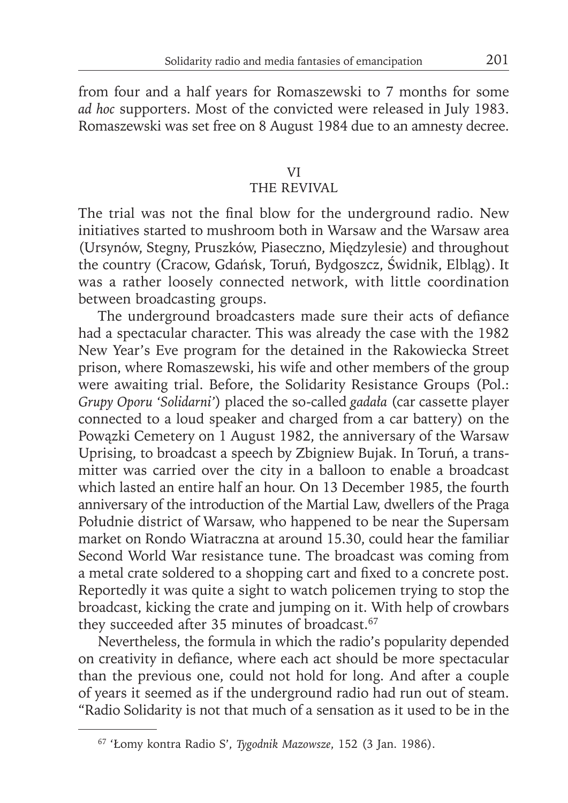from four and a half years for Romaszewski to 7 months for some *ad hoc* supporters. Most of the convicted were released in July 1983. Romaszewski was set free on 8 August 1984 due to an amnesty decree.

## VI

## THE REVIVAL

The trial was not the final blow for the underground radio. New initiatives started to mushroom both in Warsaw and the Warsaw area (Ursynów, Stegny, Pruszków, Piaseczno, Międzylesie) and throughout the country (Cracow, Gdańsk, Toruń, Bydgoszcz, Świdnik, Elbląg). It was a rather loosely connected network, with little coordination between broadcasting groups.

The underground broadcasters made sure their acts of defiance had a spectacular character. This was already the case with the 1982 New Year's Eve program for the detained in the Rakowiecka Street prison, where Romaszewski, his wife and other members of the group were awaiting trial. Before, the Solidarity Resistance Groups (Pol.: *Grupy Oporu 'Solidarni'*) placed the so-called *gadała* (car cassette player connected to a loud speaker and charged from a car battery) on the Powązki Cemetery on 1 August 1982, the anniversary of the Warsaw Uprising, to broadcast a speech by Zbigniew Bujak. In Toruń, a transmitter was carried over the city in a balloon to enable a broadcast which lasted an entire half an hour. On 13 December 1985, the fourth anniversary of the introduction of the Martial Law, dwellers of the Praga Południe district of Warsaw, who happened to be near the Supersam market on Rondo Wiatraczna at around 15.30, could hear the familiar Second World War resistance tune. The broadcast was coming from a metal crate soldered to a shopping cart and fixed to a concrete post. Reportedly it was quite a sight to watch policemen trying to stop the broadcast, kicking the crate and jumping on it. With help of crowbars they succeeded after 35 minutes of broadcast.<sup>67</sup>

Nevertheless, the formula in which the radio's popularity depended on creativity in defiance, where each act should be more spectacular than the previous one, could not hold for long. And after a couple of years it seemed as if the underground radio had run out of steam. "Radio Solidarity is not that much of a sensation as it used to be in the

<sup>67 &#</sup>x27;Łomy kontra Radio S', *Tygodnik Mazowsze*, 152 (3 Jan. 1986).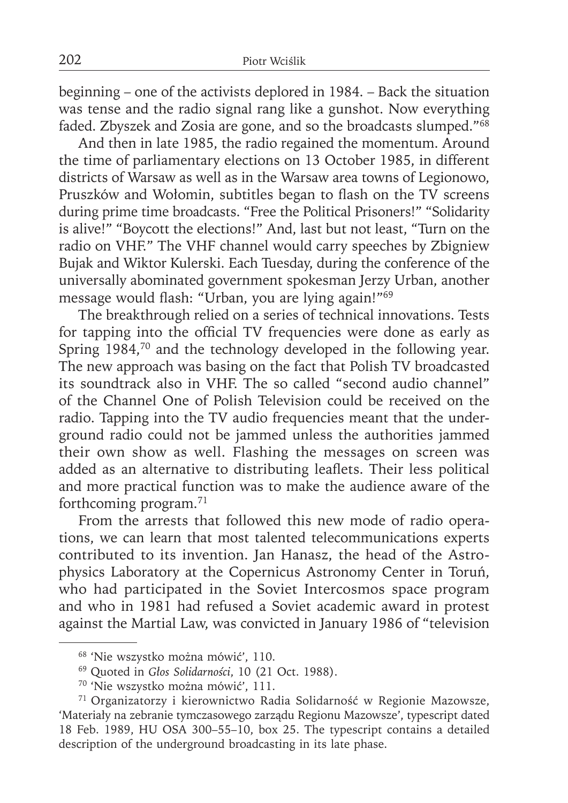beginning – one of the activists deplored in 1984. – Back the situation was tense and the radio signal rang like a gunshot. Now everything faded. Zbyszek and Zosia are gone, and so the broadcasts slumped."68

And then in late 1985, the radio regained the momentum. Around the time of parliamentary elections on 13 October 1985, in different districts of Warsaw as well as in the Warsaw area towns of Legionowo, Pruszków and Wołomin, subtitles began to flash on the TV screens during prime time broadcasts. "Free the Political Prisoners!" "Solidarity is alive!" "Boycott the elections!" And, last but not least, "Turn on the radio on VHF." The VHF channel would carry speeches by Zbigniew Bujak and Wiktor Kulerski. Each Tuesday, during the conference of the universally abominated government spokesman Jerzy Urban, another message would flash: "Urban, you are lying again!"<sup>69</sup>

The breakthrough relied on a series of technical innovations. Tests for tapping into the official TV frequencies were done as early as Spring 1984,<sup>70</sup> and the technology developed in the following year. The new approach was basing on the fact that Polish TV broadcasted its soundtrack also in VHF. The so called "second audio channel" of the Channel One of Polish Television could be received on the radio. Tapping into the TV audio frequencies meant that the underground radio could not be jammed unless the authorities jammed their own show as well. Flashing the messages on screen was added as an alternative to distributing leaflets. Their less political and more practical function was to make the audience aware of the forthcoming program.71

From the arrests that followed this new mode of radio operations, we can learn that most talented telecommunications experts contributed to its invention. Jan Hanasz, the head of the Astrophysics Laboratory at the Copernicus Astronomy Center in Toruń, who had participated in the Soviet Intercosmos space program and who in 1981 had refused a Soviet academic award in protest against the Martial Law, was convicted in January 1986 of "television

<sup>68 &#</sup>x27;Nie wszystko można mówić', 110.

<sup>69</sup> Quoted in *Głos Solidarności*, 10 (21 Oct. 1988).

<sup>70 &#</sup>x27;Nie wszystko można mówić', 111.

<sup>71</sup> Organizatorzy i kierownictwo Radia Solidarność w Regionie Mazowsze, 'Materiały na zebranie tymczasowego zarządu Regionu Mazowsze', typescript dated 18 Feb. 1989, HU OSA 300–55–10, box 25. The typescript contains a detailed description of the underground broadcasting in its late phase.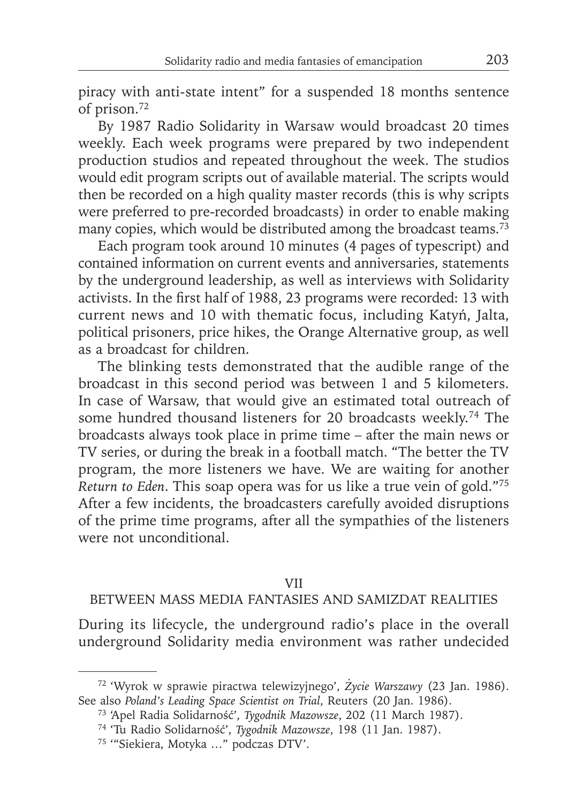piracy with anti-state intent" for a suspended 18 months sentence of prison.72

By 1987 Radio Solidarity in Warsaw would broadcast 20 times weekly. Each week programs were prepared by two independent production studios and repeated throughout the week. The studios would edit program scripts out of available material. The scripts would then be recorded on a high quality master records (this is why scripts were preferred to pre-recorded broadcasts) in order to enable making many copies, which would be distributed among the broadcast teams.<sup>73</sup>

Each program took around 10 minutes (4 pages of typescript) and contained information on current events and anniversaries, statements by the underground leadership, as well as interviews with Solidarity activists. In the first half of 1988, 23 programs were recorded: 13 with current news and 10 with thematic focus, including Katyń, Jalta, political prisoners, price hikes, the Orange Alternative group, as well as a broadcast for children.

The blinking tests demonstrated that the audible range of the broadcast in this second period was between 1 and 5 kilometers. In case of Warsaw, that would give an estimated total outreach of some hundred thousand listeners for 20 broadcasts weekly.<sup>74</sup> The broadcasts always took place in prime time – after the main news or TV series, or during the break in a football match. "The better the TV program, the more listeners we have. We are waiting for another *Return to Eden*. This soap opera was for us like a true vein of gold."75 After a few incidents, the broadcasters carefully avoided disruptions of the prime time programs, after all the sympathies of the listeners were not unconditional.

### VII

## BETWEEN MASS MEDIA FANTASIES AND SAMIZDAT REALITIES

During its lifecycle, the underground radio's place in the overall underground Solidarity media environment was rather undecided

<sup>72 &#</sup>x27;Wyrok w sprawie piractwa telewizyjnego', *Życie Warszawy* (23 Jan. 1986). See also *Poland's Leading Space Scientist on Trial*, Reuters (20 Jan. 1986).

<sup>73 &#</sup>x27;Apel Radia Solidarność', *Tygodnik Mazowsze*, 202 (11 March 1987).

<sup>74 &#</sup>x27;Tu Radio Solidarność', *Tygodnik Mazowsze*, 198 (11 Jan. 1987).

<sup>75 &#</sup>x27;"Siekiera, Motyka …" podczas DTV'.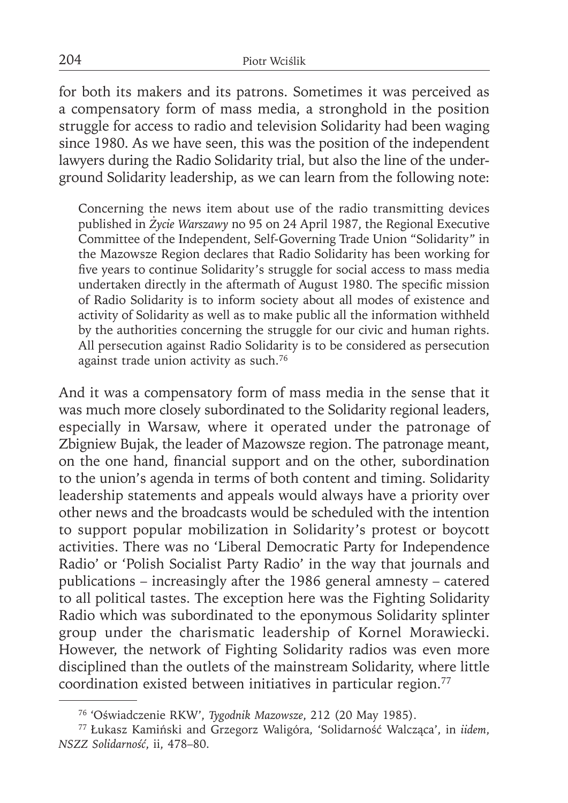for both its makers and its patrons. Sometimes it was perceived as a compensatory form of mass media, a stronghold in the position struggle for access to radio and television Solidarity had been waging since 1980. As we have seen, this was the position of the independent lawyers during the Radio Solidarity trial, but also the line of the underground Solidarity leadership, as we can learn from the following note:

Concerning the news item about use of the radio transmitting devices published in *Życie Warszawy* no 95 on 24 April 1987, the Regional Executive Committee of the Independent, Self-Governing Trade Union "Solidarity" in the Mazowsze Region declares that Radio Solidarity has been working for five years to continue Solidarity's struggle for social access to mass media undertaken directly in the aftermath of August 1980. The specific mission of Radio Solidarity is to inform society about all modes of existence and activity of Solidarity as well as to make public all the information withheld by the authorities concerning the struggle for our civic and human rights. All persecution against Radio Solidarity is to be considered as persecution against trade union activity as such.76

And it was a compensatory form of mass media in the sense that it was much more closely subordinated to the Solidarity regional leaders, especially in Warsaw, where it operated under the patronage of Zbigniew Bujak, the leader of Mazowsze region. The patronage meant, on the one hand, financial support and on the other, subordination to the union's agenda in terms of both content and timing. Solidarity leadership statements and appeals would always have a priority over other news and the broadcasts would be scheduled with the intention to support popular mobilization in Solidarity's protest or boycott activities. There was no 'Liberal Democratic Party for Independence Radio' or 'Polish Socialist Party Radio' in the way that journals and publications – increasingly after the 1986 general amnesty – catered to all political tastes. The exception here was the Fighting Solidarity Radio which was subordinated to the eponymous Solidarity splinter group under the charismatic leadership of Kornel Morawiecki. However, the network of Fighting Solidarity radios was even more disciplined than the outlets of the mainstream Solidarity, where little coordination existed between initiatives in particular region.77

<sup>76 &#</sup>x27;Oświadczenie RKW', *Tygodnik Mazowsze*, 212 (20 May 1985).

<sup>77</sup>Łukasz Kamiński and Grzegorz Waligóra, 'Solidarność Walcząca', in *iidem*, *NSZZ Solidarność*, ii, 478–80.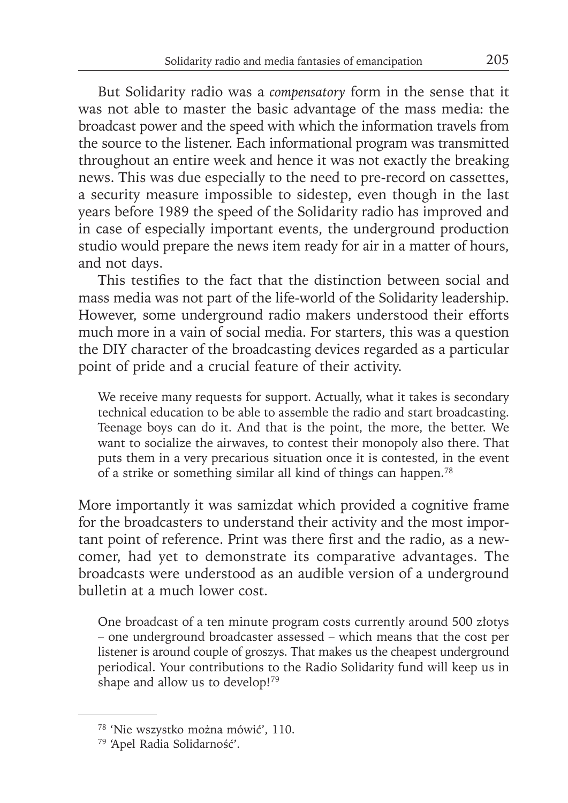But Solidarity radio was a *compensatory* form in the sense that it was not able to master the basic advantage of the mass media: the broadcast power and the speed with which the information travels from the source to the listener. Each informational program was transmitted throughout an entire week and hence it was not exactly the breaking news. This was due especially to the need to pre-record on cassettes, a security measure impossible to sidestep, even though in the last years before 1989 the speed of the Solidarity radio has improved and in case of especially important events, the underground production studio would prepare the news item ready for air in a matter of hours, and not days.

This testifies to the fact that the distinction between social and mass media was not part of the life-world of the Solidarity leadership. However, some underground radio makers understood their efforts much more in a vain of social media. For starters, this was a question the DIY character of the broadcasting devices regarded as a particular point of pride and a crucial feature of their activity.

We receive many requests for support. Actually, what it takes is secondary technical education to be able to assemble the radio and start broadcasting. Teenage boys can do it. And that is the point, the more, the better. We want to socialize the airwaves, to contest their monopoly also there. That puts them in a very precarious situation once it is contested, in the event of a strike or something similar all kind of things can happen.78

More importantly it was samizdat which provided a cognitive frame for the broadcasters to understand their activity and the most important point of reference. Print was there first and the radio, as a newcomer, had yet to demonstrate its comparative advantages. The broadcasts were understood as an audible version of a underground bulletin at a much lower cost.

One broadcast of a ten minute program costs currently around 500 złotys – one underground broadcaster assessed – which means that the cost per listener is around couple of groszys. That makes us the cheapest underground periodical. Your contributions to the Radio Solidarity fund will keep us in shape and allow us to develop!<sup>79</sup>

<sup>78 &#</sup>x27;Nie wszystko można mówić', 110.

<sup>79 &#</sup>x27;Apel Radia Solidarność'.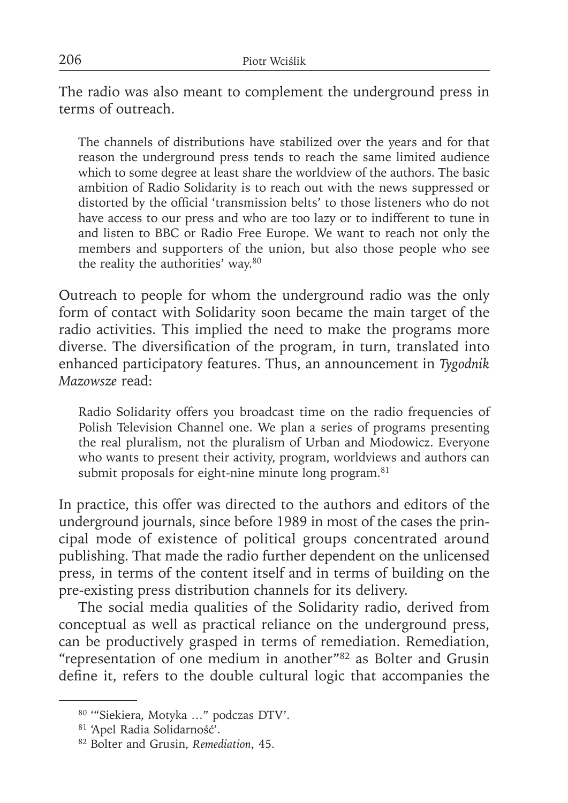The radio was also meant to complement the underground press in terms of outreach.

The channels of distributions have stabilized over the years and for that reason the underground press tends to reach the same limited audience which to some degree at least share the worldview of the authors. The basic ambition of Radio Solidarity is to reach out with the news suppressed or distorted by the official 'transmission belts' to those listeners who do not have access to our press and who are too lazy or to indifferent to tune in and listen to BBC or Radio Free Europe. We want to reach not only the members and supporters of the union, but also those people who see the reality the authorities' way.80

Outreach to people for whom the underground radio was the only form of contact with Solidarity soon became the main target of the radio activities. This implied the need to make the programs more diverse. The diversification of the program, in turn, translated into enhanced participatory features. Thus, an announcement in *Tygodnik Mazowsze* read:

Radio Solidarity offers you broadcast time on the radio frequencies of Polish Television Channel one. We plan a series of programs presenting the real pluralism, not the pluralism of Urban and Miodowicz. Everyone who wants to present their activity, program, worldviews and authors can submit proposals for eight-nine minute long program.<sup>81</sup>

In practice, this offer was directed to the authors and editors of the underground journals, since before 1989 in most of the cases the principal mode of existence of political groups concentrated around publishing. That made the radio further dependent on the unlicensed press, in terms of the content itself and in terms of building on the pre-existing press distribution channels for its delivery.

The social media qualities of the Solidarity radio, derived from conceptual as well as practical reliance on the underground press, can be productively grasped in terms of remediation. Remediation, "representation of one medium in another"82 as Bolter and Grusin define it, refers to the double cultural logic that accompanies the

<sup>80 &#</sup>x27;"Siekiera, Motyka …" podczas DTV'.

<sup>81 &#</sup>x27;Apel Radia Solidarność'.

<sup>82</sup> Bolter and Grusin, *Remediation*, 45.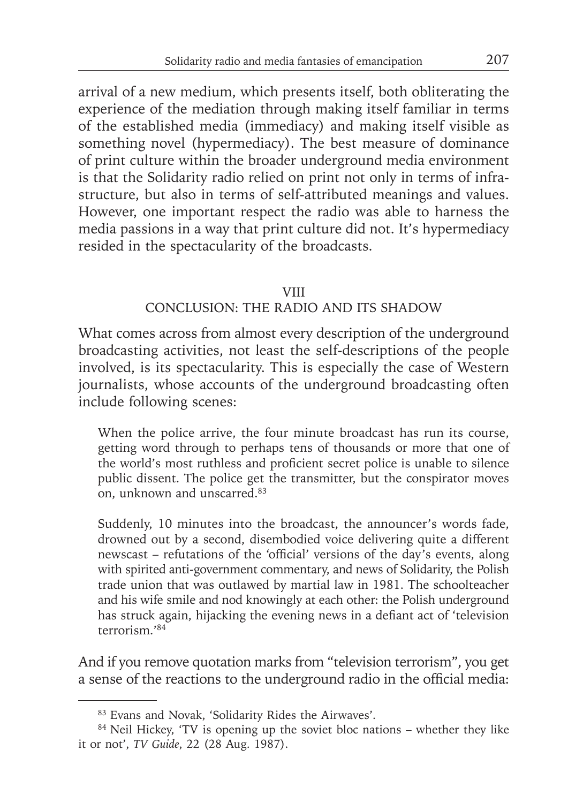arrival of a new medium, which presents itself, both obliterating the experience of the mediation through making itself familiar in terms of the established media (immediacy) and making itself visible as something novel (hypermediacy). The best measure of dominance of print culture within the broader underground media environment is that the Solidarity radio relied on print not only in terms of infrastructure, but also in terms of self-attributed meanings and values. However, one important respect the radio was able to harness the media passions in a way that print culture did not. It's hypermediacy resided in the spectacularity of the broadcasts.

### VIII

## CONCLUSION: THE RADIO AND ITS SHADOW

What comes across from almost every description of the underground broadcasting activities, not least the self-descriptions of the people involved, is its spectacularity. This is especially the case of Western journalists, whose accounts of the underground broadcasting often include following scenes:

When the police arrive, the four minute broadcast has run its course, getting word through to perhaps tens of thousands or more that one of the world's most ruthless and proficient secret police is unable to silence public dissent. The police get the transmitter, but the conspirator moves on, unknown and unscarred.83

Suddenly, 10 minutes into the broadcast, the announcer's words fade, drowned out by a second, disembodied voice delivering quite a different newscast – refutations of the 'official' versions of the day's events, along with spirited anti-government commentary, and news of Solidarity, the Polish trade union that was outlawed by martial law in 1981. The schoolteacher and his wife smile and nod knowingly at each other: the Polish underground has struck again, hijacking the evening news in a defiant act of 'television terrorism.'84

And if you remove quotation marks from "television terrorism", you get a sense of the reactions to the underground radio in the official media:

<sup>83</sup> Evans and Novak, 'Solidarity Rides the Airwaves'.

<sup>&</sup>lt;sup>84</sup> Neil Hickey, 'TV is opening up the soviet bloc nations – whether they like it or not', *TV Guide*, 22 (28 Aug. 1987).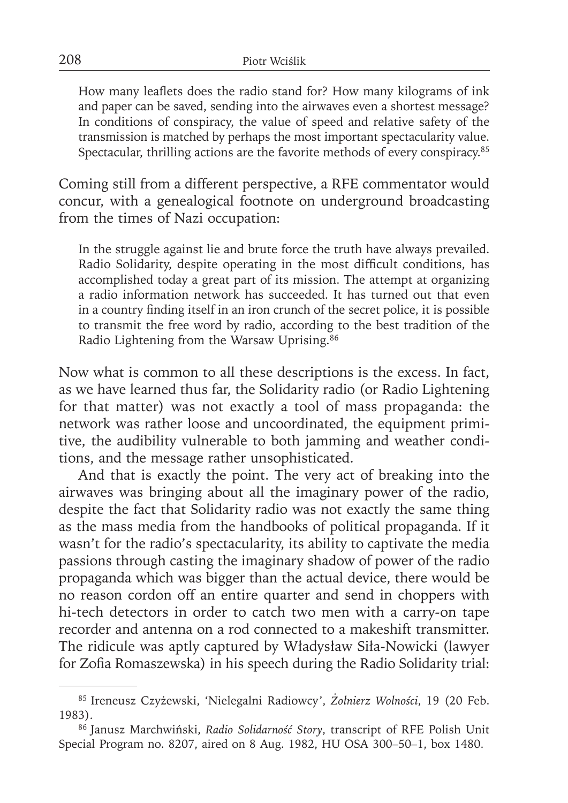How many leaflets does the radio stand for? How many kilograms of ink and paper can be saved, sending into the airwaves even a shortest message? In conditions of conspiracy, the value of speed and relative safety of the transmission is matched by perhaps the most important spectacularity value. Spectacular, thrilling actions are the favorite methods of every conspiracy.85

Coming still from a different perspective, a RFE commentator would concur, with a genealogical footnote on underground broadcasting from the times of Nazi occupation:

In the struggle against lie and brute force the truth have always prevailed. Radio Solidarity, despite operating in the most difficult conditions, has accomplished today a great part of its mission. The attempt at organizing a radio information network has succeeded. It has turned out that even in a country finding itself in an iron crunch of the secret police, it is possible to transmit the free word by radio, according to the best tradition of the Radio Lightening from the Warsaw Uprising.86

Now what is common to all these descriptions is the excess. In fact, as we have learned thus far, the Solidarity radio (or Radio Lightening for that matter) was not exactly a tool of mass propaganda: the network was rather loose and uncoordinated, the equipment primitive, the audibility vulnerable to both jamming and weather conditions, and the message rather unsophisticated.

And that is exactly the point. The very act of breaking into the airwaves was bringing about all the imaginary power of the radio, despite the fact that Solidarity radio was not exactly the same thing as the mass media from the handbooks of political propaganda. If it wasn't for the radio's spectacularity, its ability to captivate the media passions through casting the imaginary shadow of power of the radio propaganda which was bigger than the actual device, there would be no reason cordon off an entire quarter and send in choppers with hi-tech detectors in order to catch two men with a carry-on tape recorder and antenna on a rod connected to a makeshift transmitter. The ridicule was aptly captured by Władysław Siła-Nowicki (lawyer for Zofia Romaszewska) in his speech during the Radio Solidarity trial:

<sup>85</sup> Ireneusz Czyżewski, 'Nielegalni Radiowcy', *Żołnierz Wolności*, 19 (20 Feb. 1983).

<sup>86</sup> Janusz Marchwiński, *Radio Solidarność Story*, transcript of RFE Polish Unit Special Program no. 8207, aired on 8 Aug. 1982, HU OSA 300–50–1, box 1480.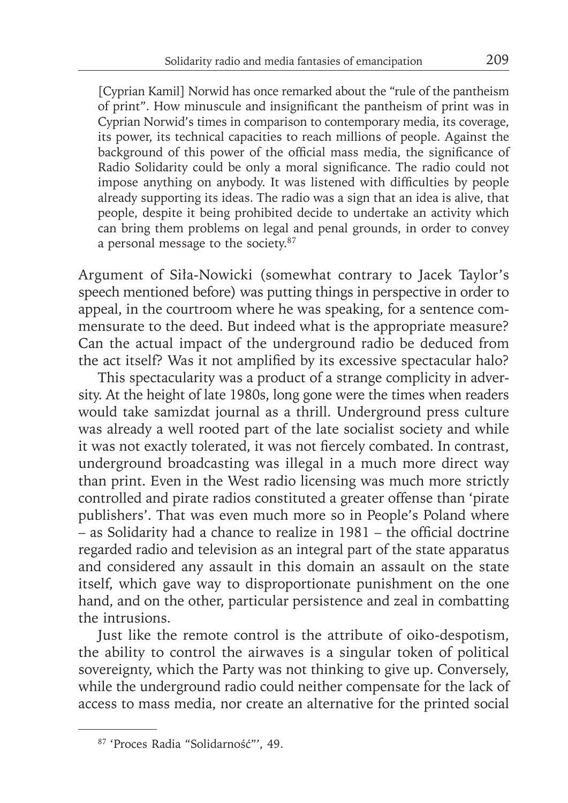[Cyprian Kamil] Norwid has once remarked about the "rule of the pantheism of print". How minuscule and insignificant the pantheism of print was in Cyprian Norwid's times in comparison to contemporary media, its coverage, its power, its technical capacities to reach millions of people. Against the background of this power of the official mass media, the significance of Radio Solidarity could be only a moral significance. The radio could not impose anything on anybody. It was listened with difficulties by people already supporting its ideas. The radio was a sign that an idea is alive, that people, despite it being prohibited decide to undertake an activity which can bring them problems on legal and penal grounds, in order to convey a personal message to the society.87

Argument of Siła-Nowicki (somewhat contrary to Jacek Taylor's speech mentioned before) was putting things in perspective in order to appeal, in the courtroom where he was speaking, for a sentence commensurate to the deed. But indeed what is the appropriate measure? Can the actual impact of the underground radio be deduced from the act itself? Was it not amplified by its excessive spectacular halo?

This spectacularity was a product of a strange complicity in adversity. At the height of late 1980s, long gone were the times when readers would take samizdat journal as a thrill. Underground press culture was already a well rooted part of the late socialist society and while it was not exactly tolerated, it was not fiercely combated. In contrast, underground broadcasting was illegal in a much more direct way than print. Even in the West radio licensing was much more strictly controlled and pirate radios constituted a greater offense than 'pirate publishers'. That was even much more so in People's Poland where  $-$  as Solidarity had a chance to realize in 1981 – the official doctrine regarded radio and television as an integral part of the state apparatus and considered any assault in this domain an assault on the state itself, which gave way to disproportionate punishment on the one hand, and on the other, particular persistence and zeal in combatting the intrusions.

Just like the remote control is the attribute of oiko-despotism, the ability to control the airwaves is a singular token of political sovereignty, which the Party was not thinking to give up. Conversely, while the underground radio could neither compensate for the lack of access to mass media, nor create an alternative for the printed social

<sup>87 &#</sup>x27;Proces Radia "Solidarność"', 49.